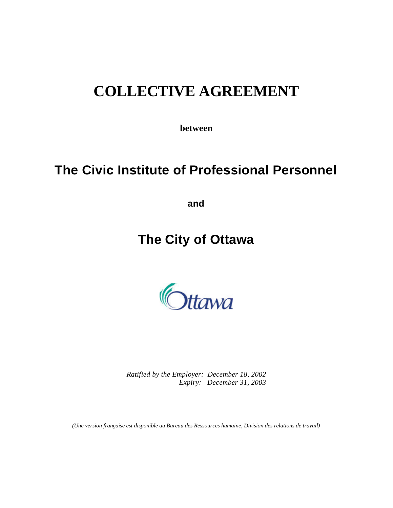# **COLLECTIVE AGREEMENT**

**between**

# **The Civic Institute of Professional Personnel**

**and**

# **The City of Ottawa**



*Ratified by the Employer: December 18, 2002 Expiry: December 31, 2003*

*(Une version française est disponible au Bureau des Ressources humaine, Division des relations de travail)*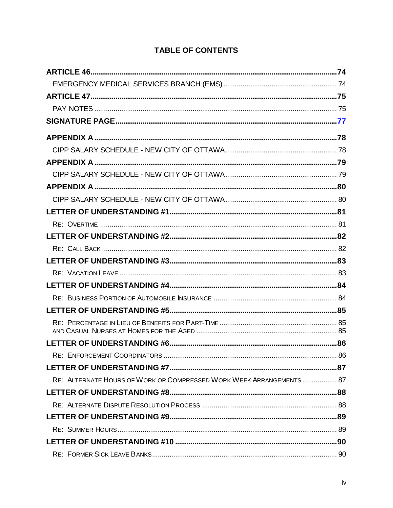| RE: ALTERNATE HOURS OF WORK OR COMPRESSED WORK WEEK ARRANGEMENTS 87 |  |
|---------------------------------------------------------------------|--|
|                                                                     |  |
|                                                                     |  |
|                                                                     |  |
|                                                                     |  |
|                                                                     |  |
|                                                                     |  |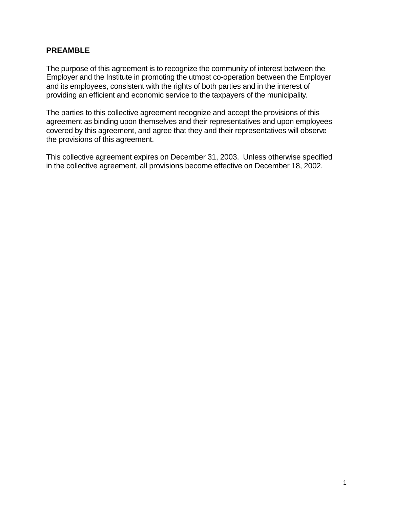## **PREAMBLE**

The purpose of this agreement is to recognize the community of interest between the Employer and the Institute in promoting the utmost co-operation between the Employer and its employees, consistent with the rights of both parties and in the interest of providing an efficient and economic service to the taxpayers of the municipality.

The parties to this collective agreement recognize and accept the provisions of this agreement as binding upon themselves and their representatives and upon employees covered by this agreement, and agree that they and their representatives will observe the provisions of this agreement.

This collective agreement expires on December 31, 2003. Unless otherwise specified in the collective agreement, all provisions become effective on December 18, 2002.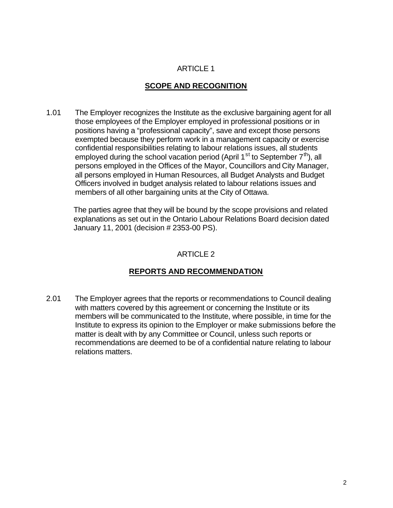## **SCOPE AND RECOGNITION**

1.01 The Employer recognizes the Institute as the exclusive bargaining agent for all those employees of the Employer employed in professional positions or in positions having a "professional capacity", save and except those persons exempted because they perform work in a management capacity or exercise confidential responsibilities relating to labour relations issues, all students employed during the school vacation period (April 1<sup>st</sup> to September  $7<sup>th</sup>$ ), all persons employed in the Offices of the Mayor, Councillors and City Manager, all persons employed in Human Resources, all Budget Analysts and Budget Officers involved in budget analysis related to labour relations issues and members of all other bargaining units at the City of Ottawa.

The parties agree that they will be bound by the scope provisions and related explanations as set out in the Ontario Labour Relations Board decision dated January 11, 2001 (decision # 2353-00 PS).

## ARTICLE 2

## **REPORTS AND RECOMMENDATION**

2.01 The Employer agrees that the reports or recommendations to Council dealing with matters covered by this agreement or concerning the Institute or its members will be communicated to the Institute, where possible, in time for the Institute to express its opinion to the Employer or make submissions before the matter is dealt with by any Committee or Council, unless such reports or recommendations are deemed to be of a confidential nature relating to labour relations matters.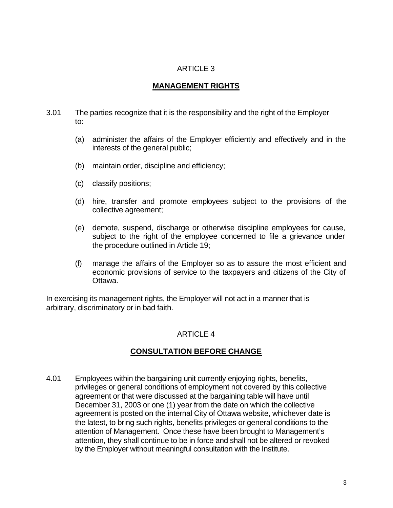#### **MANAGEMENT RIGHTS**

- 3.01 The parties recognize that it is the responsibility and the right of the Employer to:
	- (a) administer the affairs of the Employer efficiently and effectively and in the interests of the general public;
	- (b) maintain order, discipline and efficiency;
	- (c) classify positions;
	- (d) hire, transfer and promote employees subject to the provisions of the collective agreement;
	- (e) demote, suspend, discharge or otherwise discipline employees for cause, subject to the right of the employee concerned to file a grievance under the procedure outlined in Article 19;
	- (f) manage the affairs of the Employer so as to assure the most efficient and economic provisions of service to the taxpayers and citizens of the City of Ottawa.

In exercising its management rights, the Employer will not act in a manner that is arbitrary, discriminatory or in bad faith.

## ARTICLE 4

## **CONSULTATION BEFORE CHANGE**

4.01 Employees within the bargaining unit currently enjoying rights, benefits, privileges or general conditions of employment not covered by this collective agreement or that were discussed at the bargaining table will have until December 31, 2003 or one (1) year from the date on which the collective agreement is posted on the internal City of Ottawa website, whichever date is the latest, to bring such rights, benefits privileges or general conditions to the attention of Management. Once these have been brought to Management's attention, they shall continue to be in force and shall not be altered or revoked by the Employer without meaningful consultation with the Institute.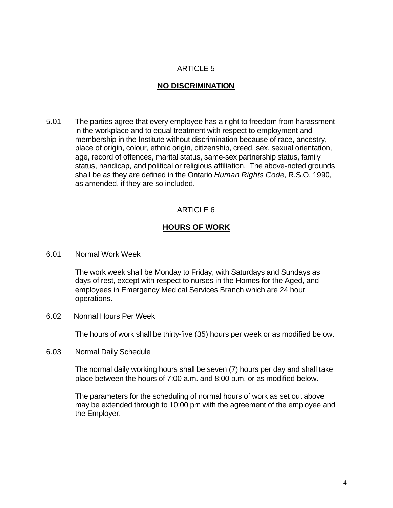#### **NO DISCRIMINATION**

5.01 The parties agree that every employee has a right to freedom from harassment in the workplace and to equal treatment with respect to employment and membership in the Institute without discrimination because of race, ancestry, place of origin, colour, ethnic origin, citizenship, creed, sex, sexual orientation, age, record of offences, marital status, same-sex partnership status, family status, handicap, and political or religious affiliation. The above-noted grounds shall be as they are defined in the Ontario *Human Rights Code*, R.S.O. 1990, as amended, if they are so included.

## ARTICLE 6

## **HOURS OF WORK**

#### 6.01 Normal Work Week

The work week shall be Monday to Friday, with Saturdays and Sundays as days of rest, except with respect to nurses in the Homes for the Aged, and employees in Emergency Medical Services Branch which are 24 hour operations.

#### 6.02 Normal Hours Per Week

The hours of work shall be thirty-five (35) hours per week or as modified below.

#### 6.03 Normal Daily Schedule

The normal daily working hours shall be seven (7) hours per day and shall take place between the hours of 7:00 a.m. and 8:00 p.m. or as modified below.

The parameters for the scheduling of normal hours of work as set out above may be extended through to 10:00 pm with the agreement of the employee and the Employer.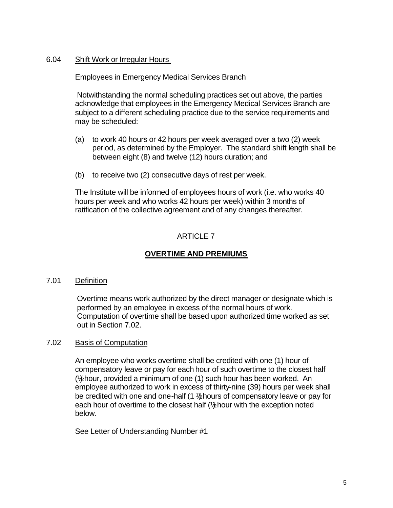#### 6.04 Shift Work or Irregular Hours

#### Employees in Emergency Medical Services Branch

Notwithstanding the normal scheduling practices set out above, the parties acknowledge that employees in the Emergency Medical Services Branch are subject to a different scheduling practice due to the service requirements and may be scheduled:

- (a) to work 40 hours or 42 hours per week averaged over a two (2) week period, as determined by the Employer. The standard shift length shall be between eight (8) and twelve (12) hours duration; and
- (b) to receive two (2) consecutive days of rest per week.

The Institute will be informed of employees hours of work (i.e. who works 40 hours per week and who works 42 hours per week) within 3 months of ratification of the collective agreement and of any changes thereafter.

## ARTICLE 7

## **OVERTIME AND PREMIUMS**

#### 7.01 Definition

Overtime means work authorized by the direct manager or designate which is performed by an employee in excess of the normal hours of work. Computation of overtime shall be based upon authorized time worked as set out in Section 7.02.

#### 7.02 Basis of Computation

An employee who works overtime shall be credited with one (1) hour of compensatory leave or pay for each hour of such overtime to the closest half  $(½$  hour, provided a minimum of one  $(1)$  such hour has been worked. An employee authorized to work in excess of thirty-nine (39) hours per week shall be credited with one and one-half (1 ½) hours of compensatory leave or pay for each hour of overtime to the closest half  $(\frac{1}{k})$  hour with the exception noted below.

See Letter of Understanding Number #1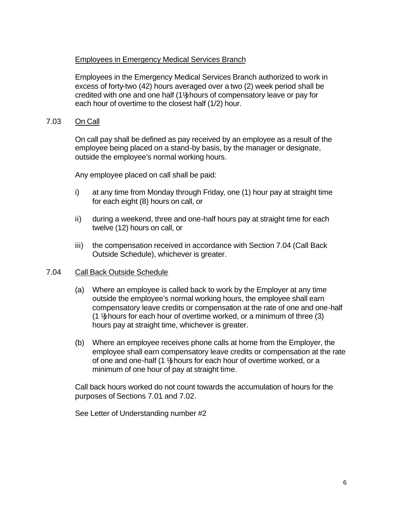#### Employees in Emergency Medical Services Branch

Employees in the Emergency Medical Services Branch authorized to work in excess of forty-two (42) hours averaged over a two (2) week period shall be credited with one and one half (1½) hours of compensatory leave or pay for each hour of overtime to the closest half (1/2) hour.

#### 7.03 On Call

On call pay shall be defined as pay received by an employee as a result of the employee being placed on a stand-by basis, by the manager or designate, outside the employee's normal working hours.

Any employee placed on call shall be paid:

- i) at any time from Monday through Friday, one (1) hour pay at straight time for each eight (8) hours on call, or
- ii) during a weekend, three and one-half hours pay at straight time for each twelve (12) hours on call, or
- iii) the compensation received in accordance with Section 7.04 (Call Back Outside Schedule), whichever is greater.

#### 7.04 Call Back Outside Schedule

- (a) Where an employee is called back to work by the Employer at any time outside the employee's normal working hours, the employee shall earn compensatory leave credits or compensation at the rate of one and one-half  $(1 \frac{1}{2})$  hours for each hour of overtime worked, or a minimum of three (3) hours pay at straight time, whichever is greater.
- (b) Where an employee receives phone calls at home from the Employer, the employee shall earn compensatory leave credits or compensation at the rate of one and one-half (1 ½) hours for each hour of overtime worked, or a minimum of one hour of pay at straight time.

Call back hours worked do not count towards the accumulation of hours for the purposes of Sections 7.01 and 7.02.

See Letter of Understanding number #2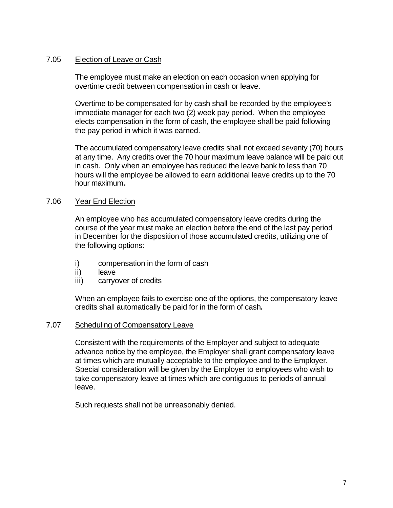#### 7.05 Election of Leave or Cash

The employee must make an election on each occasion when applying for overtime credit between compensation in cash or leave.

Overtime to be compensated for by cash shall be recorded by the employee's immediate manager for each two (2) week pay period. When the employee elects compensation in the form of cash, the employee shall be paid following the pay period in which it was earned.

The accumulated compensatory leave credits shall not exceed seventy (70) hours at any time. Any credits over the 70 hour maximum leave balance will be paid out in cash. Only when an employee has reduced the leave bank to less than 70 hours will the employee be allowed to earn additional leave credits up to the 70 hour maximum**.**

#### 7.06 Year End Election

An employee who has accumulated compensatory leave credits during the course of the year must make an election before the end of the last pay period in December for the disposition of those accumulated credits, utilizing one of the following options:

- i) compensation in the form of cash
- ii) leave
- iii) carryover of credits

When an employee fails to exercise one of the options, the compensatory leave credits shall automatically be paid for in the form of cash**.**

#### 7.07 Scheduling of Compensatory Leave

Consistent with the requirements of the Employer and subject to adequate advance notice by the employee, the Employer shall grant compensatory leave at times which are mutually acceptable to the employee and to the Employer. Special consideration will be given by the Employer to employees who wish to take compensatory leave at times which are contiguous to periods of annual leave.

Such requests shall not be unreasonably denied.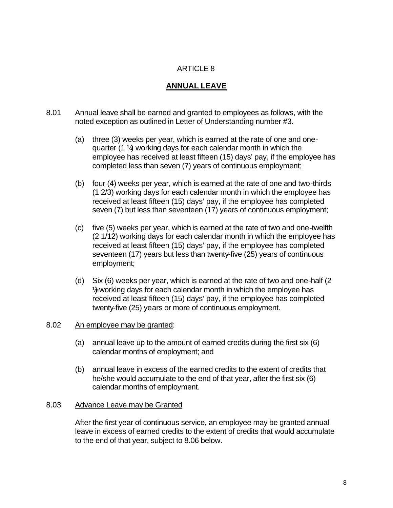## **ANNUAL LEAVE**

- 8.01 Annual leave shall be earned and granted to employees as follows, with the noted exception as outlined in Letter of Understanding number #3.
	- (a) three (3) weeks per year, which is earned at the rate of one and onequarter (1 ¼) working days for each calendar month in which the employee has received at least fifteen (15) days' pay, if the employee has completed less than seven (7) years of continuous employment;
	- (b) four (4) weeks per year, which is earned at the rate of one and two-thirds (1 2/3) working days for each calendar month in which the employee has received at least fifteen (15) days' pay, if the employee has completed seven (7) but less than seventeen (17) years of continuous employment;
	- (c) five (5) weeks per year, which is earned at the rate of two and one-twelfth (2 1/12) working days for each calendar month in which the employee has received at least fifteen (15) days' pay, if the employee has completed seventeen (17) years but less than twenty-five (25) years of continuous employment;
	- (d) Six (6) weeks per year, which is earned at the rate of two and one-half (2 ½) working days for each calendar month in which the employee has received at least fifteen (15) days' pay, if the employee has completed twenty-five (25) years or more of continuous employment.

#### 8.02 An employee may be granted:

- (a) annual leave up to the amount of earned credits during the first six (6) calendar months of employment; and
- (b) annual leave in excess of the earned credits to the extent of credits that he/she would accumulate to the end of that year, after the first six (6) calendar months of employment.

#### 8.03 Advance Leave may be Granted

After the first year of continuous service, an employee may be granted annual leave in excess of earned credits to the extent of credits that would accumulate to the end of that year, subject to 8.06 below.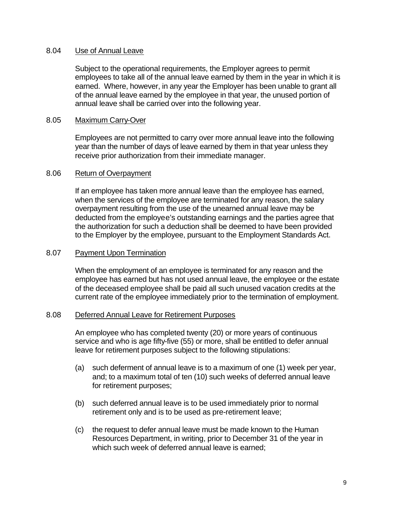#### 8.04 Use of Annual Leave

Subject to the operational requirements, the Employer agrees to permit employees to take all of the annual leave earned by them in the year in which it is earned. Where, however, in any year the Employer has been unable to grant all of the annual leave earned by the employee in that year, the unused portion of annual leave shall be carried over into the following year.

#### 8.05 Maximum Carry-Over

Employees are not permitted to carry over more annual leave into the following year than the number of days of leave earned by them in that year unless they receive prior authorization from their immediate manager.

#### 8.06 Return of Overpayment

If an employee has taken more annual leave than the employee has earned, when the services of the employee are terminated for any reason, the salary overpayment resulting from the use of the unearned annual leave may be deducted from the employee's outstanding earnings and the parties agree that the authorization for such a deduction shall be deemed to have been provided to the Employer by the employee, pursuant to the Employment Standards Act.

#### 8.07 Payment Upon Termination

When the employment of an employee is terminated for any reason and the employee has earned but has not used annual leave, the employee or the estate of the deceased employee shall be paid all such unused vacation credits at the current rate of the employee immediately prior to the termination of employment.

#### 8.08 Deferred Annual Leave for Retirement Purposes

An employee who has completed twenty (20) or more years of continuous service and who is age fifty-five (55) or more, shall be entitled to defer annual leave for retirement purposes subject to the following stipulations:

- (a) such deferment of annual leave is to a maximum of one (1) week per year, and; to a maximum total of ten (10) such weeks of deferred annual leave for retirement purposes;
- (b) such deferred annual leave is to be used immediately prior to normal retirement only and is to be used as pre-retirement leave;
- (c) the request to defer annual leave must be made known to the Human Resources Department, in writing, prior to December 31 of the year in which such week of deferred annual leave is earned;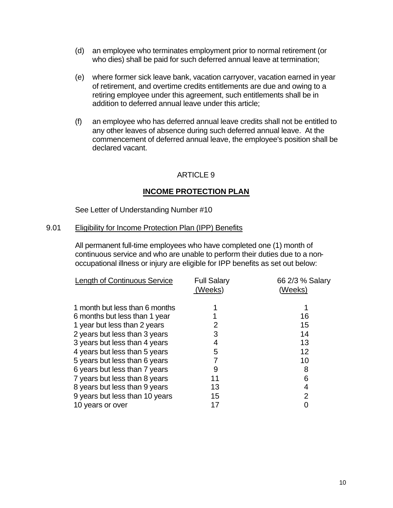- (d) an employee who terminates employment prior to normal retirement (or who dies) shall be paid for such deferred annual leave at termination;
- (e) where former sick leave bank, vacation carryover, vacation earned in year of retirement, and overtime credits entitlements are due and owing to a retiring employee under this agreement, such entitlements shall be in addition to deferred annual leave under this article;
- (f) an employee who has deferred annual leave credits shall not be entitled to any other leaves of absence during such deferred annual leave. At the commencement of deferred annual leave, the employee's position shall be declared vacant.

## **INCOME PROTECTION PLAN**

See Letter of Understanding Number #10

#### 9.01 Eligibility for Income Protection Plan (IPP) Benefits

All permanent full-time employees who have completed one (1) month of continuous service and who are unable to perform their duties due to a nonoccupational illness or injury are eligible for IPP benefits as set out below:

| <b>Length of Continuous Service</b> | <b>Full Salary</b><br>(Weeks) | 66 2/3 % Salary<br>(Weeks) |
|-------------------------------------|-------------------------------|----------------------------|
| 1 month but less than 6 months      |                               |                            |
| 6 months but less than 1 year       |                               | 16                         |
| 1 year but less than 2 years        |                               | 15                         |
| 2 years but less than 3 years       | 3                             | 14                         |
| 3 years but less than 4 years       |                               | 13                         |
| 4 years but less than 5 years       | 5                             | 12                         |
| 5 years but less than 6 years       |                               | 10                         |
| 6 years but less than 7 years       |                               | 8                          |
| 7 years but less than 8 years       |                               | 6                          |
| 8 years but less than 9 years       | 13                            | 4                          |
| 9 years but less than 10 years      | 15                            | 2                          |
| 10 years or over                    |                               |                            |
|                                     |                               |                            |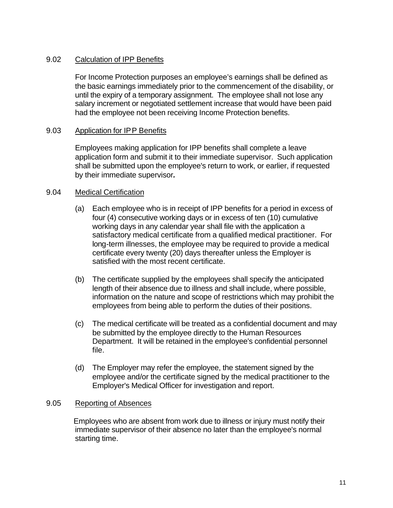#### 9.02 Calculation of IPP Benefits

For Income Protection purposes an employee's earnings shall be defined as the basic earnings immediately prior to the commencement of the disability, or until the expiry of a temporary assignment. The employee shall not lose any salary increment or negotiated settlement increase that would have been paid had the employee not been receiving Income Protection benefits.

#### 9.03 Application for IPP Benefits

Employees making application for IPP benefits shall complete a leave application form and submit it to their immediate supervisor. Such application shall be submitted upon the employee's return to work, or earlier, if requested by their immediate supervisor*.*

#### 9.04 Medical Certification

- (a) Each employee who is in receipt of IPP benefits for a period in excess of four (4) consecutive working days or in excess of ten (10) cumulative working days in any calendar year shall file with the application a satisfactory medical certificate from a qualified medical practitioner. For long-term illnesses, the employee may be required to provide a medical certificate every twenty (20) days thereafter unless the Employer is satisfied with the most recent certificate.
- (b) The certificate supplied by the employees shall specify the anticipated length of their absence due to illness and shall include, where possible, information on the nature and scope of restrictions which may prohibit the employees from being able to perform the duties of their positions.
- (c) The medical certificate will be treated as a confidential document and may be submitted by the employee directly to the Human Resources Department. It will be retained in the employee's confidential personnel file.
- (d) The Employer may refer the employee, the statement signed by the employee and/or the certificate signed by the medical practitioner to the Employer's Medical Officer for investigation and report.

#### 9.05 Reporting of Absences

Employees who are absent from work due to illness or injury must notify their immediate supervisor of their absence no later than the employee's normal starting time.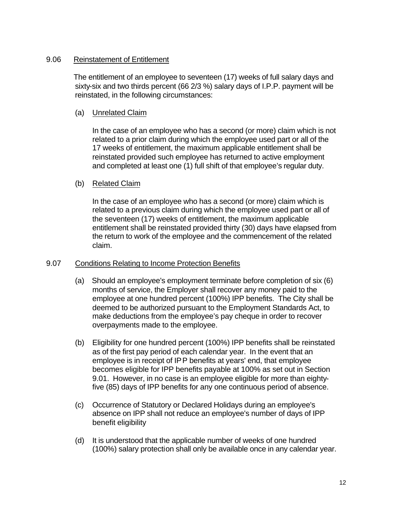#### 9.06 Reinstatement of Entitlement

The entitlement of an employee to seventeen (17) weeks of full salary days and sixty-six and two thirds percent (66 2/3 %) salary days of I.P.P. payment will be reinstated, in the following circumstances:

#### (a) Unrelated Claim

In the case of an employee who has a second (or more) claim which is not related to a prior claim during which the employee used part or all of the 17 weeks of entitlement, the maximum applicable entitlement shall be reinstated provided such employee has returned to active employment and completed at least one (1) full shift of that employee's regular duty.

#### (b) Related Claim

In the case of an employee who has a second (or more) claim which is related to a previous claim during which the employee used part or all of the seventeen (17) weeks of entitlement, the maximum applicable entitlement shall be reinstated provided thirty (30) days have elapsed from the return to work of the employee and the commencement of the related claim.

#### 9.07 Conditions Relating to Income Protection Benefits

- (a) Should an employee's employment terminate before completion of six (6) months of service, the Employer shall recover any money paid to the employee at one hundred percent (100%) IPP benefits. The City shall be deemed to be authorized pursuant to the Employment Standards Act, to make deductions from the employee's pay cheque in order to recover overpayments made to the employee.
- (b) Eligibility for one hundred percent (100%) IPP benefits shall be reinstated as of the first pay period of each calendar year. In the event that an employee is in receipt of IPP benefits at years' end, that employee becomes eligible for IPP benefits payable at 100% as set out in Section 9.01. However, in no case is an employee eligible for more than eightyfive (85) days of IPP benefits for any one continuous period of absence.
- (c) Occurrence of Statutory or Declared Holidays during an employee's absence on IPP shall not reduce an employee's number of days of IPP benefit eligibility
- (d) It is understood that the applicable number of weeks of one hundred (100%) salary protection shall only be available once in any calendar year.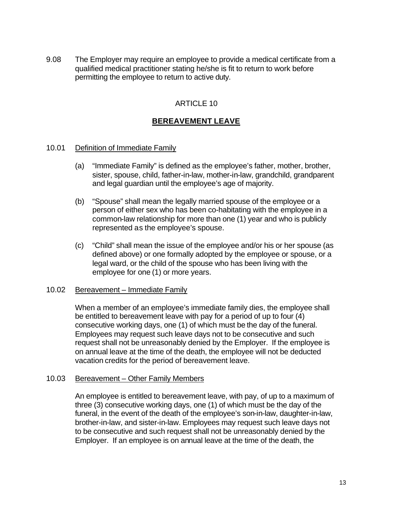9.08 The Employer may require an employee to provide a medical certificate from a qualified medical practitioner stating he/she is fit to return to work before permitting the employee to return to active duty.

## ARTICLE 10

## **BEREAVEMENT LEAVE**

#### 10.01 Definition of Immediate Family

- (a) "Immediate Family" is defined as the employee's father, mother, brother, sister, spouse, child, father-in-law, mother-in-law, grandchild, grandparent and legal guardian until the employee's age of majority.
- (b) "Spouse" shall mean the legally married spouse of the employee or a person of either sex who has been co-habitating with the employee in a common-law relationship for more than one (1) year and who is publicly represented as the employee's spouse.
- (c) "Child" shall mean the issue of the employee and/or his or her spouse (as defined above) or one formally adopted by the employee or spouse, or a legal ward, or the child of the spouse who has been living with the employee for one (1) or more years.

#### 10.02 Bereavement – Immediate Family

When a member of an employee's immediate family dies, the employee shall be entitled to bereavement leave with pay for a period of up to four (4) consecutive working days, one (1) of which must be the day of the funeral. Employees may request such leave days not to be consecutive and such request shall not be unreasonably denied by the Employer. If the employee is on annual leave at the time of the death, the employee will not be deducted vacation credits for the period of bereavement leave.

#### 10.03 Bereavement – Other Family Members

An employee is entitled to bereavement leave, with pay, of up to a maximum of three (3) consecutive working days, one (1) of which must be the day of the funeral, in the event of the death of the employee's son-in-law, daughter-in-law, brother-in-law, and sister-in-law. Employees may request such leave days not to be consecutive and such request shall not be unreasonably denied by the Employer. If an employee is on annual leave at the time of the death, the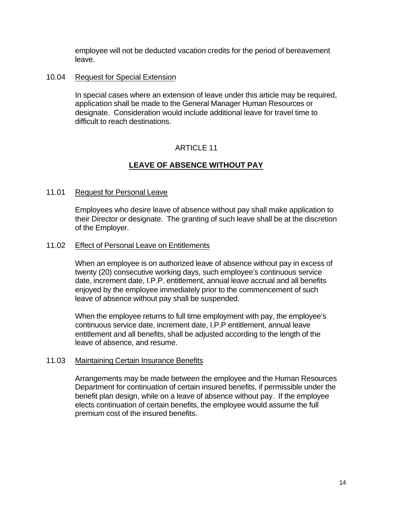employee will not be deducted vacation credits for the period of bereavement leave.

#### 10.04 Request for Special Extension

In special cases where an extension of leave under this article may be required, application shall be made to the General Manager Human Resources or designate. Consideration would include additional leave for travel time to difficult to reach destinations.

## ARTICLE 11

## **LEAVE OF ABSENCE WITHOUT PAY**

#### 11.01 Request for Personal Leave

Employees who desire leave of absence without pay shall make application to their Director or designate. The granting of such leave shall be at the discretion of the Employer.

#### 11.02 Effect of Personal Leave on Entitlements

When an employee is on authorized leave of absence without pay in excess of twenty (20) consecutive working days, such employee's continuous service date, increment date, I.P.P. entitlement, annual leave accrual and all benefits enjoyed by the employee immediately prior to the commencement of such leave of absence without pay shall be suspended.

When the employee returns to full time employment with pay, the employee's continuous service date, increment date, I.P.P entitlement, annual leave entitlement and all benefits, shall be adjusted according to the length of the leave of absence, and resume.

#### 11.03 Maintaining Certain Insurance Benefits

Arrangements may be made between the employee and the Human Resources Department for continuation of certain insured benefits, if permissible under the benefit plan design, while on a leave of absence without pay. If the employee elects continuation of certain benefits, the employee would assume the full premium cost of the insured benefits.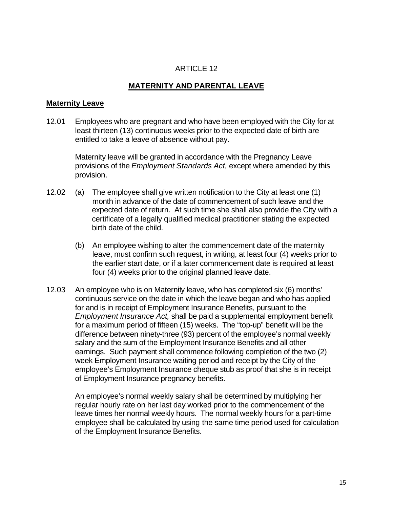## **MATERNITY AND PARENTAL LEAVE**

#### **Maternity Leave**

12.01 Employees who are pregnant and who have been employed with the City for at least thirteen (13) continuous weeks prior to the expected date of birth are entitled to take a leave of absence without pay.

Maternity leave will be granted in accordance with the Pregnancy Leave provisions of the *Employment Standards Act,* except where amended by this provision.

- 12.02 (a) The employee shall give written notification to the City at least one (1) month in advance of the date of commencement of such leave and the expected date of return. At such time she shall also provide the City with a certificate of a legally qualified medical practitioner stating the expected birth date of the child.
	- (b) An employee wishing to alter the commencement date of the maternity leave, must confirm such request, in writing, at least four (4) weeks prior to the earlier start date, or if a later commencement date is required at least four (4) weeks prior to the original planned leave date.
- 12.03 An employee who is on Maternity leave, who has completed six (6) months' continuous service on the date in which the leave began and who has applied for and is in receipt of Employment Insurance Benefits, pursuant to the *Employment Insurance Act,* shall be paid a supplemental employment benefit for a maximum period of fifteen (15) weeks. The "top-up" benefit will be the difference between ninety-three (93) percent of the employee's normal weekly salary and the sum of the Employment Insurance Benefits and all other earnings. Such payment shall commence following completion of the two (2) week Employment Insurance waiting period and receipt by the City of the employee's Employment Insurance cheque stub as proof that she is in receipt of Employment Insurance pregnancy benefits.

An employee's normal weekly salary shall be determined by multiplying her regular hourly rate on her last day worked prior to the commencement of the leave times her normal weekly hours. The normal weekly hours for a part-time employee shall be calculated by using the same time period used for calculation of the Employment Insurance Benefits.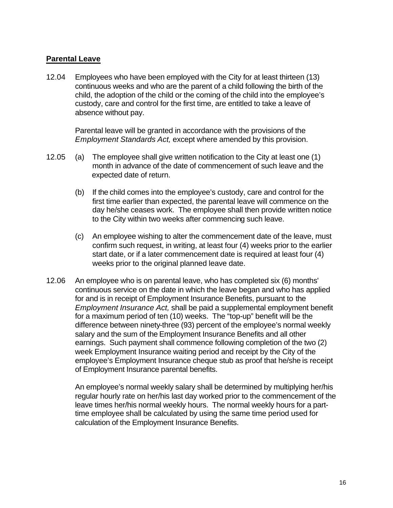#### **Parental Leave**

12.04 Employees who have been employed with the City for at least thirteen (13) continuous weeks and who are the parent of a child following the birth of the child, the adoption of the child or the coming of the child into the employee's custody, care and control for the first time, are entitled to take a leave of absence without pay.

> Parental leave will be granted in accordance with the provisions of the *Employment Standards Act,* except where amended by this provision.

- 12.05 (a) The employee shall give written notification to the City at least one (1) month in advance of the date of commencement of such leave and the expected date of return.
	- (b) If the child comes into the employee's custody, care and control for the first time earlier than expected, the parental leave will commence on the day he/she ceases work. The employee shall then provide written notice to the City within two weeks after commencing such leave.
	- (c) An employee wishing to alter the commencement date of the leave, must confirm such request, in writing, at least four (4) weeks prior to the earlier start date, or if a later commencement date is required at least four (4) weeks prior to the original planned leave date.
- 12.06 An employee who is on parental leave, who has completed six (6) months' continuous service on the date in which the leave began and who has applied for and is in receipt of Employment Insurance Benefits, pursuant to the *Employment Insurance Act,* shall be paid a supplemental employment benefit for a maximum period of ten (10) weeks. The "top-up" benefit will be the difference between ninety-three (93) percent of the employee's normal weekly salary and the sum of the Employment Insurance Benefits and all other earnings. Such payment shall commence following completion of the two (2) week Employment Insurance waiting period and receipt by the City of the employee's Employment Insurance cheque stub as proof that he/she is receipt of Employment Insurance parental benefits.

An employee's normal weekly salary shall be determined by multiplying her/his regular hourly rate on her/his last day worked prior to the commencement of the leave times her/his normal weekly hours. The normal weekly hours for a parttime employee shall be calculated by using the same time period used for calculation of the Employment Insurance Benefits.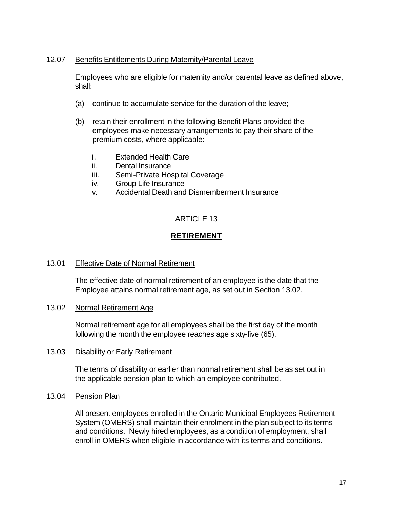#### 12.07 Benefits Entitlements During Maternity/Parental Leave

Employees who are eligible for maternity and/or parental leave as defined above, shall:

- (a) continue to accumulate service for the duration of the leave;
- (b) retain their enrollment in the following Benefit Plans provided the employees make necessary arrangements to pay their share of the premium costs, where applicable:
	- i. Extended Health Care
	- ii. Dental Insurance
	- iii. Semi-Private Hospital Coverage
	- iv. Group Life Insurance
	- v. Accidental Death and Dismemberment Insurance

## ARTICLE 13

## **RETIREMENT**

#### 13.01 Effective Date of Normal Retirement

The effective date of normal retirement of an employee is the date that the Employee attains normal retirement age, as set out in Section 13.02.

13.02 Normal Retirement Age

Normal retirement age for all employees shall be the first day of the month following the month the employee reaches age sixty-five (65).

#### 13.03 Disability or Early Retirement

The terms of disability or earlier than normal retirement shall be as set out in the applicable pension plan to which an employee contributed.

#### 13.04 Pension Plan

All present employees enrolled in the Ontario Municipal Employees Retirement System (OMERS) shall maintain their enrolment in the plan subject to its terms and conditions. Newly hired employees, as a condition of employment, shall enroll in OMERS when eligible in accordance with its terms and conditions.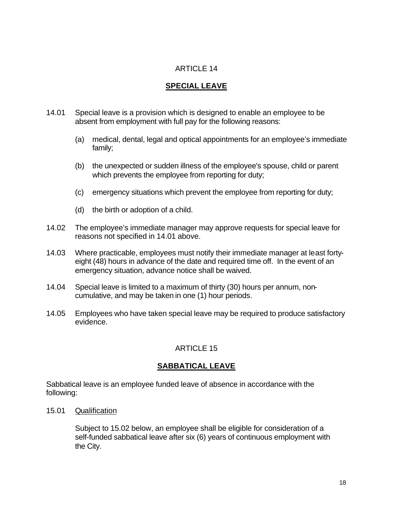## **SPECIAL LEAVE**

- 14.01 Special leave is a provision which is designed to enable an employee to be absent from employment with full pay for the following reasons:
	- (a) medical, dental, legal and optical appointments for an employee's immediate family;
	- (b) the unexpected or sudden illness of the employee's spouse, child or parent which prevents the employee from reporting for duty;
	- (c) emergency situations which prevent the employee from reporting for duty;
	- (d) the birth or adoption of a child.
- 14.02 The employee's immediate manager may approve requests for special leave for reasons not specified in 14.01 above.
- 14.03Where practicable, employees must notify their immediate manager at least fortyeight (48) hours in advance of the date and required time off. In the event of an emergency situation, advance notice shall be waived.
- 14.04 Special leave is limited to a maximum of thirty (30) hours per annum, noncumulative, and may be taken in one (1) hour periods.
- 14.05Employees who have taken special leave may be required to produce satisfactory evidence.

## ARTICLE 15

## **SABBATICAL LEAVE**

Sabbatical leave is an employee funded leave of absence in accordance with the following:

15.01 Qualification

Subject to 15.02 below, an employee shall be eligible for consideration of a self-funded sabbatical leave after six (6) years of continuous employment with the City.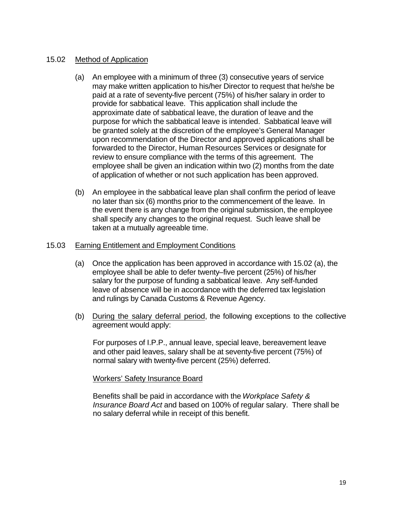#### 15.02 Method of Application

- (a) An employee with a minimum of three (3) consecutive years of service may make written application to his/her Director to request that he/she be paid at a rate of seventy-five percent (75%) of his/her salary in order to provide for sabbatical leave. This application shall include the approximate date of sabbatical leave, the duration of leave and the purpose for which the sabbatical leave is intended. Sabbatical leave will be granted solely at the discretion of the employee's General Manager upon recommendation of the Director and approved applications shall be forwarded to the Director, Human Resources Services or designate for review to ensure compliance with the terms of this agreement. The employee shall be given an indication within two (2) months from the date of application of whether or not such application has been approved.
- (b) An employee in the sabbatical leave plan shall confirm the period of leave no later than six (6) months prior to the commencement of the leave. In the event there is any change from the original submission, the employee shall specify any changes to the original request. Such leave shall be taken at a mutually agreeable time.

#### 15.03 Earning Entitlement and Employment Conditions

- (a) Once the application has been approved in accordance with 15.02 (a), the employee shall be able to defer twenty–five percent (25%) of his/her salary for the purpose of funding a sabbatical leave. Any self-funded leave of absence will be in accordance with the deferred tax legislation and rulings by Canada Customs & Revenue Agency.
- (b) During the salary deferral period, the following exceptions to the collective agreement would apply:

For purposes of I.P.P., annual leave, special leave, bereavement leave and other paid leaves, salary shall be at seventy-five percent (75%) of normal salary with twenty-five percent (25%) deferred.

Workers' Safety Insurance Board

Benefits shall be paid in accordance with the *Workplace Safety & Insurance Board Act* and based on 100% of regular salary. There shall be no salary deferral while in receipt of this benefit.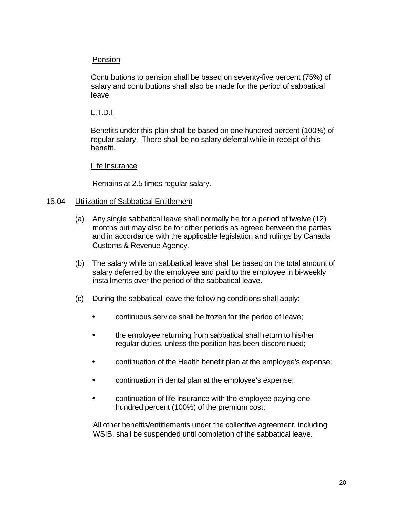#### Pension

Contributions to pension shall be based on seventy-five percent (75%) of salary and contributions shall also be made for the period of sabbatical leave.

#### L.T.D.I.

Benefits under this plan shall be based on one hundred percent (100%) of regular salary. There shall be no salary deferral while in receipt of this benefit.

#### Life Insurance

Remains at 2.5 times regular salary.

#### 15.04 Utilization of Sabbatical Entitlement

- (a) Any single sabbatical leave shall normally be for a period of twelve (12) months but may also be for other periods as agreed between the parties and in accordance with the applicable legislation and rulings by Canada Customs & Revenue Agency.
- (b) The salary while on sabbatical leave shall be based on the total amount of salary deferred by the employee and paid to the employee in bi-weekly installments over the period of the sabbatical leave.
- (c) During the sabbatical leave the following conditions shall apply:
	- continuous service shall be frozen for the period of leave;
	- the employee returning from sabbatical shall return to his/her regular duties, unless the position has been discontinued;
	- continuation of the Health benefit plan at the employee's expense;
	- continuation in dental plan at the employee's expense;
	- continuation of life insurance with the employee paying one hundred percent (100%) of the premium cost;

All other benefits/entitlements under the collective agreement, including WSIB, shall be suspended until completion of the sabbatical leave.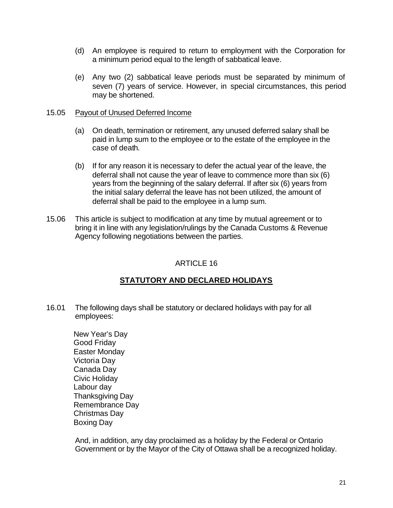- (d) An employee is required to return to employment with the Corporation for a minimum period equal to the length of sabbatical leave.
- (e) Any two (2) sabbatical leave periods must be separated by minimum of seven (7) years of service. However, in special circumstances, this period may be shortened.

#### 15.05 Payout of Unused Deferred Income

- (a) On death, termination or retirement, any unused deferred salary shall be paid in lump sum to the employee or to the estate of the employee in the case of death.
- (b) If for any reason it is necessary to defer the actual year of the leave, the deferral shall not cause the year of leave to commence more than six (6) years from the beginning of the salary deferral. If after six (6) years from the initial salary deferral the leave has not been utilized, the amount of deferral shall be paid to the employee in a lump sum.
- 15.06 This article is subject to modification at any time by mutual agreement or to bring it in line with any legislation/rulings by the Canada Customs & Revenue Agency following negotiations between the parties.

#### ARTICLE 16

## **STATUTORY AND DECLARED HOLIDAYS**

- 16.01 The following days shall be statutory or declared holidays with pay for all employees:
	- New Year's Day Good Friday Easter Monday Victoria Day Canada Day Civic Holiday Labour day Thanksgiving Day Remembrance Day Christmas Day Boxing Day

And, in addition, any day proclaimed as a holiday by the Federal or Ontario Government or by the Mayor of the City of Ottawa shall be a recognized holiday.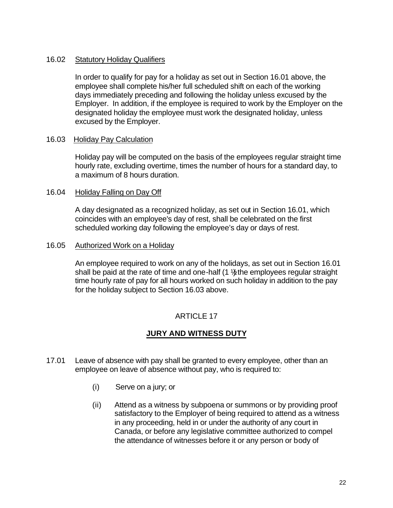#### 16.02 Statutory Holiday Qualifiers

In order to qualify for pay for a holiday as set out in Section 16.01 above, the employee shall complete his/her full scheduled shift on each of the working days immediately preceding and following the holiday unless excused by the Employer. In addition, if the employee is required to work by the Employer on the designated holiday the employee must work the designated holiday, unless excused by the Employer.

#### 16.03 Holiday Pay Calculation

Holiday pay will be computed on the basis of the employees regular straight time hourly rate, excluding overtime, times the number of hours for a standard day, to a maximum of 8 hours duration.

#### 16.04 Holiday Falling on Day Off

A day designated as a recognized holiday, as set out in Section 16.01, which coincides with an employee's day of rest, shall be celebrated on the first scheduled working day following the employee's day or days of rest.

#### 16.05 Authorized Work on a Holiday

An employee required to work on any of the holidays, as set out in Section 16.01 shall be paid at the rate of time and one-half  $(1 \frac{1}{2})$  the employees regular straight time hourly rate of pay for all hours worked on such holiday in addition to the pay for the holiday subject to Section 16.03 above.

#### ARTICLE 17

## **JURY AND WITNESS DUTY**

- 17.01 Leave of absence with pay shall be granted to every employee, other than an employee on leave of absence without pay, who is required to:
	- (i) Serve on a jury; or
	- (ii) Attend as a witness by subpoena or summons or by providing proof satisfactory to the Employer of being required to attend as a witness in any proceeding, held in or under the authority of any court in Canada, or before any legislative committee authorized to compel the attendance of witnesses before it or any person or body of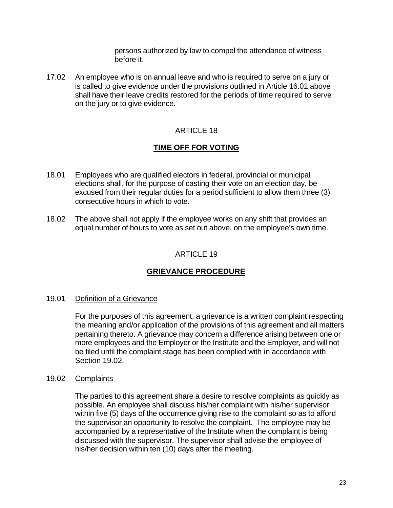persons authorized by law to compel the attendance of witness before it.

17.02 An employee who is on annual leave and who is required to serve on a jury or is called to give evidence under the provisions outlined in Article 16.01 above shall have their leave credits restored for the periods of time required to serve on the jury or to give evidence.

## ARTICLE 18

## **TIME OFF FOR VOTING**

- 18.01 Employees who are qualified electors in federal, provincial or municipal elections shall, for the purpose of casting their vote on an election day, be excused from their regular duties for a period sufficient to allow them three (3) consecutive hours in which to vote.
- 18.02 The above shall not apply if the employee works on any shift that provides an equal number of hours to vote as set out above, on the employee's own time.

## ARTICLE 19

## **GRIEVANCE PROCEDURE**

#### 19.01 Definition of a Grievance

For the purposes of this agreement, a grievance is a written complaint respecting the meaning and/or application of the provisions of this agreement and all matters pertaining thereto. A grievance may concern a difference arising between one or more employees and the Employer or the Institute and the Employer, and will not be filed until the complaint stage has been complied with in accordance with Section 19.02.

#### 19.02 Complaints

The parties to this agreement share a desire to resolve complaints as quickly as possible. An employee shall discuss his/her complaint with his/her supervisor within five (5) days of the occurrence giving rise to the complaint so as to afford the supervisor an opportunity to resolve the complaint. The employee may be accompanied by a representative of the Institute when the complaint is being discussed with the supervisor. The supervisor shall advise the employee of his/her decision within ten (10) days after the meeting.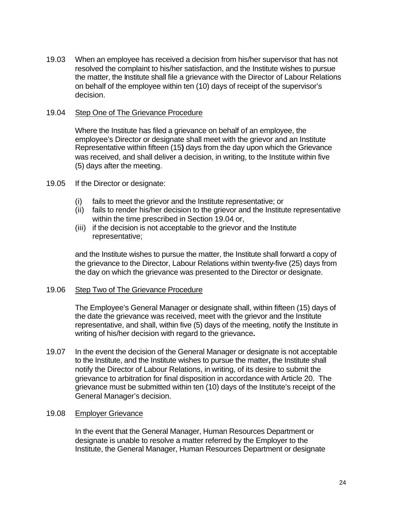19.03 When an employee has received a decision from his/her supervisor that has not resolved the complaint to his/her satisfaction, and the Institute wishes to pursue the matter, the Institute shall file a grievance with the Director of Labour Relations on behalf of the employee within ten (10) days of receipt of the supervisor's decision.

#### 19.04 Step One of The Grievance Procedure

Where the Institute has filed a grievance on behalf of an employee, the employee's Director or designate shall meet with the grievor and an Institute Representative within fifteen (15**)** days from the day upon which the Grievance was received, and shall deliver a decision, in writing, to the Institute within five (5) days after the meeting.

- 19.05 If the Director or designate:
	- (i) fails to meet the grievor and the Institute representative; or
	- (ii) fails to render his/her decision to the grievor and the Institute representative within the time prescribed in Section 19.04 or,
	- (iii) if the decision is not acceptable to the grievor and the Institute representative;

and the Institute wishes to pursue the matter, the Institute shall forward a copy of the grievance to the Director, Labour Relations within twenty-five (25) days from the day on which the grievance was presented to the Director or designate.

#### 19.06 Step Two of The Grievance Procedure

The Employee's General Manager or designate shall, within fifteen (15) days of the date the grievance was received, meet with the grievor and the Institute representative, and shall, within five (5) days of the meeting, notify the Institute in writing of his/her decision with regard to the grievance**.**

19.07 In the event the decision of the General Manager or designate is not acceptable to the Institute, and the Institute wishes to pursue the matter**,** the Institute shall notify the Director of Labour Relations, in writing, of its desire to submit the grievance to arbitration for final disposition in accordance with Article 20. The grievance must be submitted within ten (10) days of the Institute's receipt of the General Manager's decision.

#### 19.08 Employer Grievance

In the event that the General Manager, Human Resources Department or designate is unable to resolve a matter referred by the Employer to the Institute, the General Manager, Human Resources Department or designate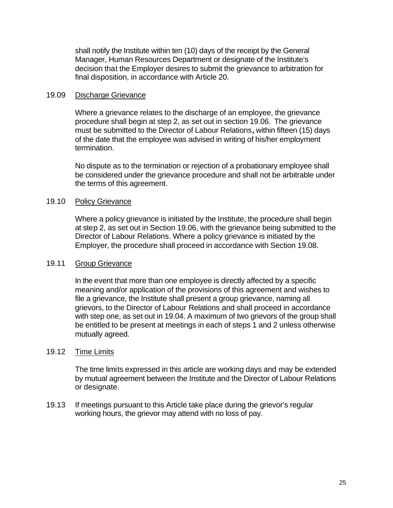shall notify the Institute within ten (10) days of the receipt by the General Manager, Human Resources Department or designate of the Institute's decision that the Employer desires to submit the grievance to arbitration for final disposition, in accordance with Article 20.

#### 19.09 Discharge Grievance

Where a grievance relates to the discharge of an employee, the grievance procedure shall begin at step 2, as set out in section 19.06.The grievance must be submitted to the Director of Labour Relations**,** within fifteen (15) days of the date that the employee was advised in writing of his/her employment termination.

No dispute as to the termination or rejection of a probationary employee shall be considered under the grievance procedure and shall not be arbitrable under the terms of this agreement.

#### 19.10 Policy Grievance

Where a policy grievance is initiated by the Institute, the procedure shall begin at step 2, as set out in Section 19.06, with the grievance being submitted to the Director of Labour Relations. Where a policy grievance is initiated by the Employer, the procedure shall proceed in accordance with Section 19.08.

#### 19.11 Group Grievance

In the event that more than one employee is directly affected by a specific meaning and/or application of the provisions of this agreement and wishes to file a grievance, the Institute shall present a group grievance, naming all grievors, to the Director of Labour Relations and shall proceed in accordance with step one, as set out in 19.04. A maximum of two grievors of the group shall be entitled to be present at meetings in each of steps 1 and 2 unless otherwise mutually agreed.

#### 19.12 Time Limits

The time limits expressed in this article are working days and may be extended by mutual agreement between the Institute and the Director of Labour Relations or designate.

19.13 If meetings pursuant to this Article take place during the grievor's regular working hours, the grievor may attend with no loss of pay.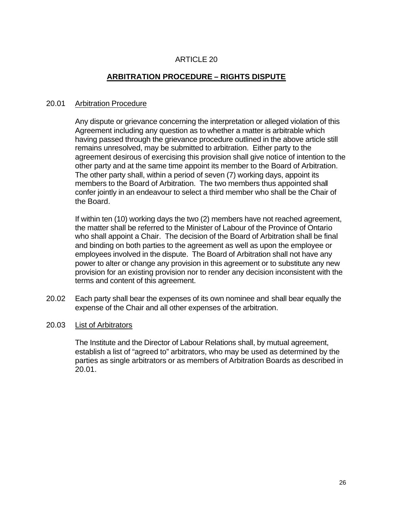## **ARBITRATION PROCEDURE – RIGHTS DISPUTE**

#### 20.01 Arbitration Procedure

Any dispute or grievance concerning the interpretation or alleged violation of this Agreement including any question as to whether a matter is arbitrable which having passed through the grievance procedure outlined in the above article still remains unresolved, may be submitted to arbitration. Either party to the agreement desirous of exercising this provision shall give notice of intention to the other party and at the same time appoint its member to the Board of Arbitration. The other party shall, within a period of seven (7) working days, appoint its members to the Board of Arbitration. The two members thus appointed shall confer jointly in an endeavour to select a third member who shall be the Chair of the Board.

If within ten (10) working days the two (2) members have not reached agreement, the matter shall be referred to the Minister of Labour of the Province of Ontario who shall appoint a Chair. The decision of the Board of Arbitration shall be final and binding on both parties to the agreement as well as upon the employee or employees involved in the dispute. The Board of Arbitration shall not have any power to alter or change any provision in this agreement or to substitute any new provision for an existing provision nor to render any decision inconsistent with the terms and content of this agreement.

- 20.02 Each party shall bear the expenses of its own nominee and shall bear equally the expense of the Chair and all other expenses of the arbitration.
- 20.03 List of Arbitrators

The Institute and the Director of Labour Relations shall, by mutual agreement, establish a list of "agreed to" arbitrators, who may be used as determined by the parties as single arbitrators or as members of Arbitration Boards as described in 20.01.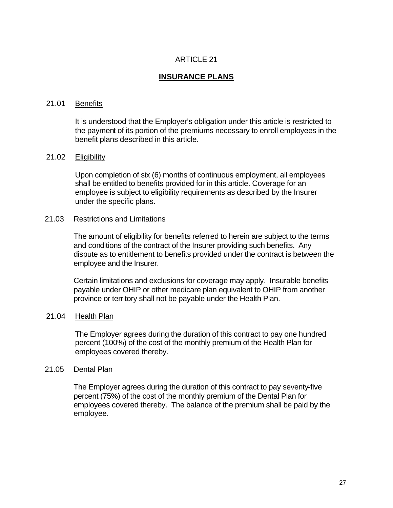## **INSURANCE PLANS**

#### 21.01 Benefits

It is understood that the Employer's obligation under this article is restricted to the payment of its portion of the premiums necessary to enroll employees in the benefit plans described in this article.

#### 21.02 Eligibility

Upon completion of six (6) months of continuous employment, all employees shall be entitled to benefits provided for in this article. Coverage for an employee is subject to eligibility requirements as described by the Insurer under the specific plans.

#### 21.03 Restrictions and Limitations

The amount of eligibility for benefits referred to herein are subject to the terms and conditions of the contract of the Insurer providing such benefits. Any dispute as to entitlement to benefits provided under the contract is between the employee and the Insurer.

Certain limitations and exclusions for coverage may apply. Insurable benefits payable under OHIP or other medicare plan equivalent to OHIP from another province or territory shall not be payable under the Health Plan.

#### 21.04 Health Plan

The Employer agrees during the duration of this contract to pay one hundred percent (100%) of the cost of the monthly premium of the Health Plan for employees covered thereby.

#### 21.05 Dental Plan

The Employer agrees during the duration of this contract to pay seventy-five percent (75%) of the cost of the monthly premium of the Dental Plan for employees covered thereby. The balance of the premium shall be paid by the employee.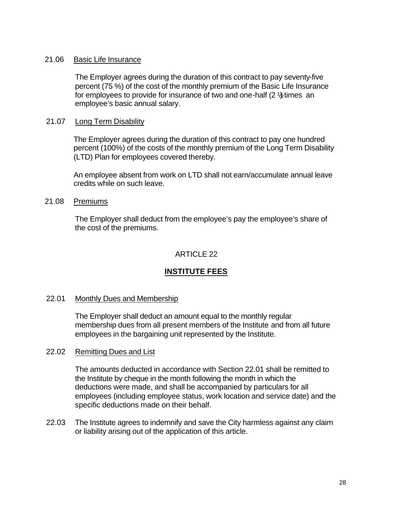#### 21.06 Basic Life Insurance

The Employer agrees during the duration of this contract to pay seventy-five percent (75 %) of the cost of the monthly premium of the Basic Life Insurance for employees to provide for insurance of two and one-half  $(2 \frac{1}{2})$  times an employee's basic annual salary.

#### 21.07 Long Term Disability

The Employer agrees during the duration of this contract to pay one hundred percent (100%) of the costs of the monthly premium of the Long Term Disability (LTD) Plan for employees covered thereby.

An employee absent from work on LTD shall not earn/accumulate annual leave credits while on such leave.

#### 21.08 Premiums

The Employer shall deduct from the employee's pay the employee's share of the cost of the premiums.

## ARTICLE 22

## **INSTITUTE FEES**

#### 22.01 Monthly Dues and Membership

The Employer shall deduct an amount equal to the monthly regular membership dues from all present members of the Institute and from all future employees in the bargaining unit represented by the Institute.

#### 22.02 Remitting Dues and List

The amounts deducted in accordance with Section 22.01 shall be remitted to the Institute by cheque in the month following the month in which the deductions were made, and shall be accompanied by particulars for all employees (including employee status, work location and service date) and the specific deductions made on their behalf.

22.03 The Institute agrees to indemnify and save the City harmless against any claim or liability arising out of the application of this article.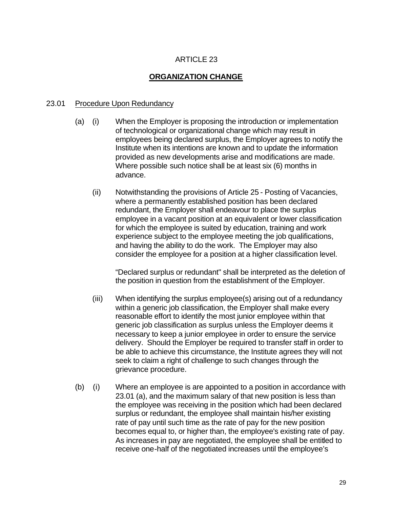## **ORGANIZATION CHANGE**

#### 23.01 Procedure Upon Redundancy

- (a) (i) When the Employer is proposing the introduction or implementation of technological or organizational change which may result in employees being declared surplus, the Employer agrees to notify the Institute when its intentions are known and to update the information provided as new developments arise and modifications are made. Where possible such notice shall be at least six (6) months in advance.
	- (ii) Notwithstanding the provisions of Article 25 Posting of Vacancies, where a permanently established position has been declared redundant, the Employer shall endeavour to place the surplus employee in a vacant position at an equivalent or lower classification for which the employee is suited by education, training and work experience subject to the employee meeting the job qualifications, and having the ability to do the work. The Employer may also consider the employee for a position at a higher classification level.

"Declared surplus or redundant" shall be interpreted as the deletion of the position in question from the establishment of the Employer.

- (iii) When identifying the surplus employee(s) arising out of a redundancy within a generic job classification, the Employer shall make every reasonable effort to identify the most junior employee within that generic job classification as surplus unless the Employer deems it necessary to keep a junior employee in order to ensure the service delivery. Should the Employer be required to transfer staff in order to be able to achieve this circumstance, the Institute agrees they will not seek to claim a right of challenge to such changes through the grievance procedure.
- (b) (i) Where an employee is are appointed to a position in accordance with 23.01 (a), and the maximum salary of that new position is less than the employee was receiving in the position which had been declared surplus or redundant, the employee shall maintain his/her existing rate of pay until such time as the rate of pay for the new position becomes equal to, or higher than, the employee's existing rate of pay. As increases in pay are negotiated, the employee shall be entitled to receive one-half of the negotiated increases until the employee's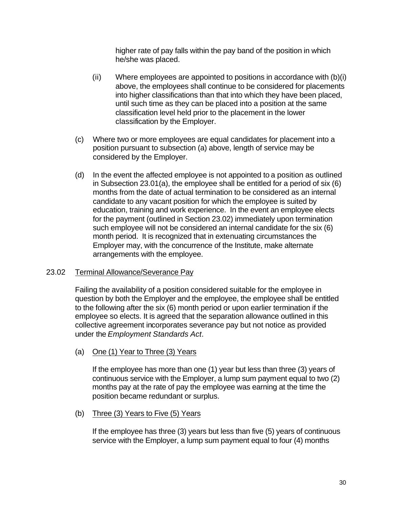higher rate of pay falls within the pay band of the position in which he/she was placed.

- (ii) Where employees are appointed to positions in accordance with (b)(i) above, the employees shall continue to be considered for placements into higher classifications than that into which they have been placed, until such time as they can be placed into a position at the same classification level held prior to the placement in the lower classification by the Employer.
- (c) Where two or more employees are equal candidates for placement into a position pursuant to subsection (a) above, length of service may be considered by the Employer.
- (d) In the event the affected employee is not appointed to a position as outlined in Subsection 23.01(a), the employee shall be entitled for a period of six (6) months from the date of actual termination to be considered as an internal candidate to any vacant position for which the employee is suited by education, training and work experience. In the event an employee elects for the payment (outlined in Section 23.02) immediately upon termination such employee will not be considered an internal candidate for the six (6) month period. It is recognized that in extenuating circumstances the Employer may, with the concurrence of the Institute, make alternate arrangements with the employee.

#### 23.02 Terminal Allowance/Severance Pay

Failing the availability of a position considered suitable for the employee in question by both the Employer and the employee, the employee shall be entitled to the following after the six (6) month period or upon earlier termination if the employee so elects. It is agreed that the separation allowance outlined in this collective agreement incorporates severance pay but not notice as provided under the *Employment Standards Act*.

#### (a) One (1) Year to Three (3) Years

If the employee has more than one (1) year but less than three (3) years of continuous service with the Employer, a lump sum payment equal to two (2) months pay at the rate of pay the employee was earning at the time the position became redundant or surplus.

#### (b) Three (3) Years to Five (5) Years

If the employee has three (3) years but less than five (5) years of continuous service with the Employer, a lump sum payment equal to four (4) months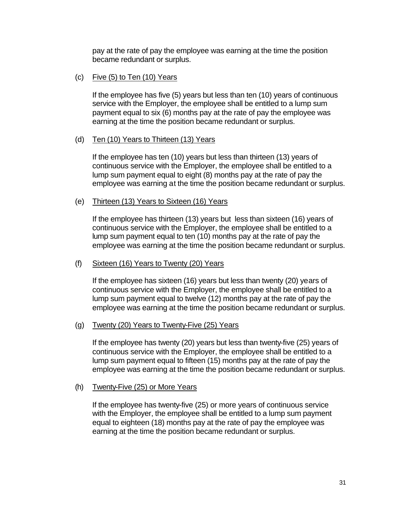pay at the rate of pay the employee was earning at the time the position became redundant or surplus.

#### (c) Five (5) to Ten (10) Years

If the employee has five (5) years but less than ten (10) years of continuous service with the Employer, the employee shall be entitled to a lump sum payment equal to six (6) months pay at the rate of pay the employee was earning at the time the position became redundant or surplus.

#### (d) Ten (10) Years to Thirteen (13) Years

If the employee has ten (10) years but less than thirteen (13) years of continuous service with the Employer, the employee shall be entitled to a lump sum payment equal to eight (8) months pay at the rate of pay the employee was earning at the time the position became redundant or surplus.

#### (e) Thirteen (13) Years to Sixteen (16) Years

If the employee has thirteen (13) years but less than sixteen (16) years of continuous service with the Employer, the employee shall be entitled to a lump sum payment equal to ten (10) months pay at the rate of pay the employee was earning at the time the position became redundant or surplus.

#### (f) Sixteen (16) Years to Twenty (20) Years

If the employee has sixteen (16) years but less than twenty (20) years of continuous service with the Employer, the employee shall be entitled to a lump sum payment equal to twelve (12) months pay at the rate of pay the employee was earning at the time the position became redundant or surplus.

#### (g) Twenty (20) Years to Twenty-Five (25) Years

If the employee has twenty (20) years but less than twenty-five (25) years of continuous service with the Employer, the employee shall be entitled to a lump sum payment equal to fifteen (15) months pay at the rate of pay the employee was earning at the time the position became redundant or surplus.

#### (h) Twenty-Five (25) or More Years

If the employee has twenty-five (25) or more years of continuous service with the Employer, the employee shall be entitled to a lump sum payment equal to eighteen (18) months pay at the rate of pay the employee was earning at the time the position became redundant or surplus.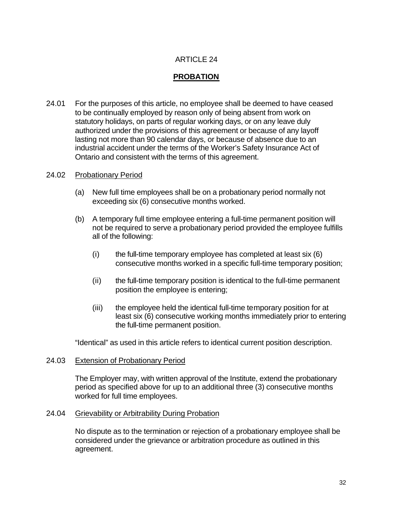# **PROBATION**

24.01 For the purposes of this article, no employee shall be deemed to have ceased to be continually employed by reason only of being absent from work on statutory holidays, on parts of regular working days, or on any leave duly authorized under the provisions of this agreement or because of any layoff lasting not more than 90 calendar days, or because of absence due to an industrial accident under the terms of the Worker's Safety Insurance Act of Ontario and consistent with the terms of this agreement.

#### 24.02 Probationary Period

- (a) New full time employees shall be on a probationary period normally not exceeding six (6) consecutive months worked.
- (b) A temporary full time employee entering a full-time permanent position will not be required to serve a probationary period provided the employee fulfills all of the following:
	- $(i)$  the full-time temporary employee has completed at least six  $(6)$ consecutive months worked in a specific full-time temporary position;
	- (ii) the full-time temporary position is identical to the full-time permanent position the employee is entering;
	- (iii) the employee held the identical full-time temporary position for at least six (6) consecutive working months immediately prior to entering the full-time permanent position.

"Identical" as used in this article refers to identical current position description.

#### 24.03 Extension of Probationary Period

The Employer may, with written approval of the Institute, extend the probationary period as specified above for up to an additional three (3) consecutive months worked for full time employees.

#### 24.04 Grievability or Arbitrability During Probation

No dispute as to the termination or rejection of a probationary employee shall be considered under the grievance or arbitration procedure as outlined in this agreement.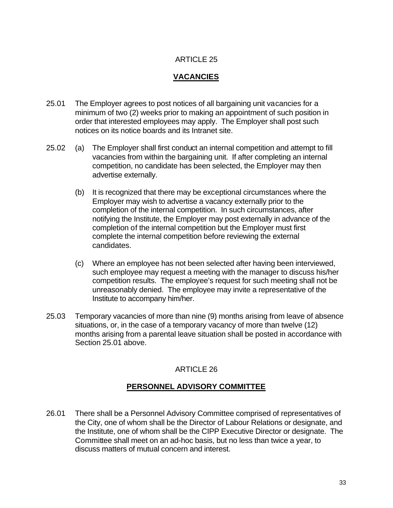# **VACANCIES**

- 25.01 The Employer agrees to post notices of all bargaining unit vacancies for a minimum of two (2) weeks prior to making an appointment of such position in order that interested employees may apply. The Employer shall post such notices on its notice boards and its Intranet site.
- 25.02 (a) The Employer shall first conduct an internal competition and attempt to fill vacancies from within the bargaining unit. If after completing an internal competition, no candidate has been selected, the Employer may then advertise externally.
	- (b) It is recognized that there may be exceptional circumstances where the Employer may wish to advertise a vacancy externally prior to the completion of the internal competition. In such circumstances, after notifying the Institute, the Employer may post externally in advance of the completion of the internal competition but the Employer must first complete the internal competition before reviewing the external candidates.
	- (c) Where an employee has not been selected after having been interviewed, such employee may request a meeting with the manager to discuss his/her competition results. The employee's request for such meeting shall not be unreasonably denied. The employee may invite a representative of the Institute to accompany him/her.
- 25.03 Temporary vacancies of more than nine (9) months arising from leave of absence situations, or, in the case of a temporary vacancy of more than twelve (12) months arising from a parental leave situation shall be posted in accordance with Section 25.01 above.

# ARTICLE 26

# **PERSONNEL ADVISORY COMMITTEE**

26.01 There shall be a Personnel Advisory Committee comprised of representatives of the City, one of whom shall be the Director of Labour Relations or designate, and the Institute, one of whom shall be the CIPP Executive Director or designate. The Committee shall meet on an ad-hoc basis, but no less than twice a year, to discuss matters of mutual concern and interest.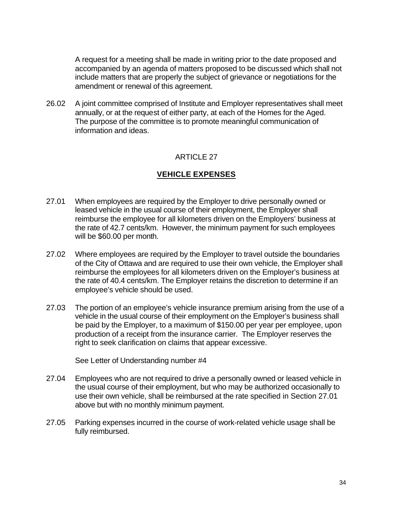A request for a meeting shall be made in writing prior to the date proposed and accompanied by an agenda of matters proposed to be discussed which shall not include matters that are properly the subject of grievance or negotiations for the amendment or renewal of this agreement.

26.02 A joint committee comprised of Institute and Employer representatives shall meet annually, or at the request of either party, at each of the Homes for the Aged. The purpose of the committee is to promote meaningful communication of information and ideas.

### ARTICLE 27

# **VEHICLE EXPENSES**

- 27.01 When employees are required by the Employer to drive personally owned or leased vehicle in the usual course of their employment, the Employer shall reimburse the employee for all kilometers driven on the Employers' business at the rate of 42.7 cents/km. However, the minimum payment for such employees will be \$60.00 per month.
- 27.02 Where employees are required by the Employer to travel outside the boundaries of the City of Ottawa and are required to use their own vehicle, the Employer shall reimburse the employees for all kilometers driven on the Employer's business at the rate of 40.4 cents/km. The Employer retains the discretion to determine if an employee's vehicle should be used.
- 27.03 The portion of an employee's vehicle insurance premium arising from the use of a vehicle in the usual course of their employment on the Employer's business shall be paid by the Employer, to a maximum of \$150.00 per year per employee, upon production of a receipt from the insurance carrier. The Employer reserves the right to seek clarification on claims that appear excessive.

See Letter of Understanding number #4

- 27.04 Employees who are not required to drive a personally owned or leased vehicle in the usual course of their employment, but who may be authorized occasionally to use their own vehicle, shall be reimbursed at the rate specified in Section 27.01 above but with no monthly minimum payment.
- 27.05 Parking expenses incurred in the course of work-related vehicle usage shall be fully reimbursed.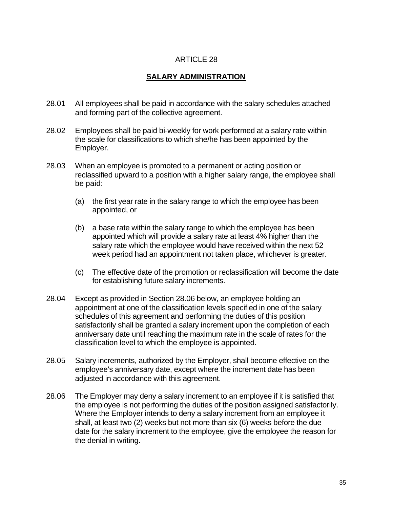## **SALARY ADMINISTRATION**

- 28.01 All employees shall be paid in accordance with the salary schedules attached and forming part of the collective agreement.
- 28.02 Employees shall be paid bi-weekly for work performed at a salary rate within the scale for classifications to which she/he has been appointed by the Employer.
- 28.03 When an employee is promoted to a permanent or acting position or reclassified upward to a position with a higher salary range, the employee shall be paid:
	- (a) the first year rate in the salary range to which the employee has been appointed, or
	- (b) a base rate within the salary range to which the employee has been appointed which will provide a salary rate at least 4% higher than the salary rate which the employee would have received within the next 52 week period had an appointment not taken place, whichever is greater.
	- (c) The effective date of the promotion or reclassification will become the date for establishing future salary increments.
- 28.04 Except as provided in Section 28.06 below, an employee holding an appointment at one of the classification levels specified in one of the salary schedules of this agreement and performing the duties of this position satisfactorily shall be granted a salary increment upon the completion of each anniversary date until reaching the maximum rate in the scale of rates for the classification level to which the employee is appointed.
- 28.05 Salary increments, authorized by the Employer, shall become effective on the employee's anniversary date, except where the increment date has been adjusted in accordance with this agreement.
- 28.06 The Employer may deny a salary increment to an employee if it is satisfied that the employee is not performing the duties of the position assigned satisfactorily. Where the Employer intends to deny a salary increment from an employee it shall, at least two (2) weeks but not more than six (6) weeks before the due date for the salary increment to the employee, give the employee the reason for the denial in writing.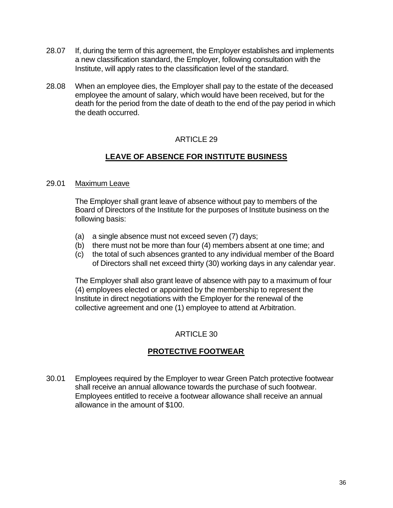- 28.07 If, during the term of this agreement, the Employer establishes and implements a new classification standard, the Employer, following consultation with the Institute, will apply rates to the classification level of the standard.
- 28.08 When an employee dies, the Employer shall pay to the estate of the deceased employee the amount of salary, which would have been received, but for the death for the period from the date of death to the end of the pay period in which the death occurred.

# **LEAVE OF ABSENCE FOR INSTITUTE BUSINESS**

#### 29.01 Maximum Leave

The Employer shall grant leave of absence without pay to members of the Board of Directors of the Institute for the purposes of Institute business on the following basis:

- (a) a single absence must not exceed seven (7) days;
- (b) there must not be more than four (4) members absent at one time; and
- (c) the total of such absences granted to any individual member of the Board of Directors shall net exceed thirty (30) working days in any calendar year.

The Employer shall also grant leave of absence with pay to a maximum of four (4) employees elected or appointed by the membership to represent the Institute in direct negotiations with the Employer for the renewal of the collective agreement and one (1) employee to attend at Arbitration.

### ARTICLE 30

# **PROTECTIVE FOOTWEAR**

30.01 Employees required by the Employer to wear Green Patch protective footwear shall receive an annual allowance towards the purchase of such footwear. Employees entitled to receive a footwear allowance shall receive an annual allowance in the amount of \$100.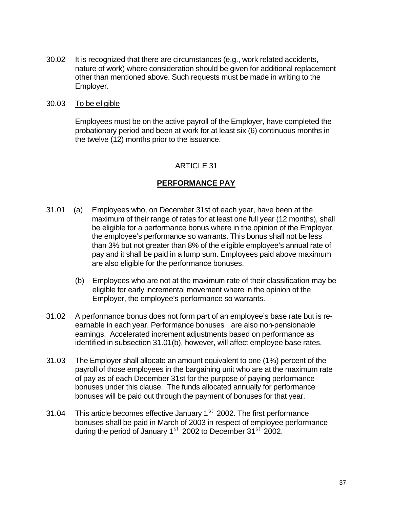30.02 It is recognized that there are circumstances (e.g., work related accidents, nature of work) where consideration should be given for additional replacement other than mentioned above. Such requests must be made in writing to the Employer.

#### 30.03 To be eligible

Employees must be on the active payroll of the Employer, have completed the probationary period and been at work for at least six (6) continuous months in the twelve (12) months prior to the issuance.

### ARTICLE 31

### **PERFORMANCE PAY**

- 31.01 (a) Employees who, on December 31st of each year, have been at the maximum of their range of rates for at least one full year (12 months), shall be eligible for a performance bonus where in the opinion of the Employer, the employee's performance so warrants. This bonus shall not be less than 3% but not greater than 8% of the eligible employee's annual rate of pay and it shall be paid in a lump sum. Employees paid above maximum are also eligible for the performance bonuses.
	- (b) Employees who are not at the maximum rate of their classification may be eligible for early incremental movement where in the opinion of the Employer, the employee's performance so warrants.
- 31.02 A performance bonus does not form part of an employee's base rate but is reearnable in each year. Performance bonuses are also non-pensionable earnings. Accelerated increment adjustments based on performance as identified in subsection 31.01(b), however, will affect employee base rates.
- 31.03 The Employer shall allocate an amount equivalent to one (1%) percent of the payroll of those employees in the bargaining unit who are at the maximum rate of pay as of each December 31st for the purpose of paying performance bonuses under this clause. The funds allocated annually for performance bonuses will be paid out through the payment of bonuses for that year.
- 31.04 This article becomes effective January  $1<sup>st</sup>$  2002. The first performance bonuses shall be paid in March of 2003 in respect of employee performance during the period of January  $1<sup>st</sup>$  2002 to December  $31<sup>st</sup>$  2002.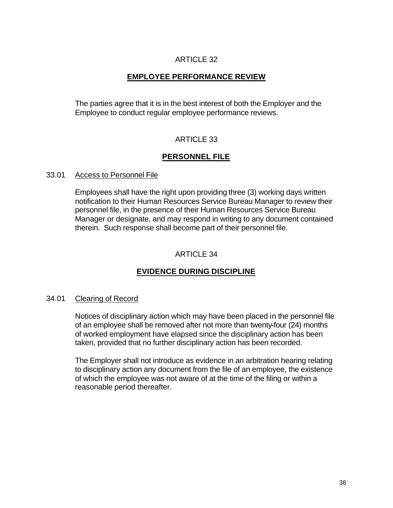# **EMPLOYEE PERFORMANCE REVIEW**

The parties agree that it is in the best interest of both the Employer and the Employee to conduct regular employee performance reviews.

# ARTICLE 33

# **PERSONNEL FILE**

#### 33.01 Access to Personnel File

Employees shall have the right upon providing three (3) working days written notification to their Human Resources Service Bureau Manager to review their personnel file, in the presence of their Human Resources Service Bureau Manager or designate, and may respond in writing to any document contained therein. Such response shall become part of their personnel file.

### ARTICLE 34

# **EVIDENCE DURING DISCIPLINE**

### 34.01 Clearing of Record

Notices of disciplinary action which may have been placed in the personnel file of an employee shall be removed after not more than twenty-four (24) months of worked employment have elapsed since the disciplinary action has been taken, provided that no further disciplinary action has been recorded.

The Employer shall not introduce as evidence in an arbitration hearing relating to disciplinary action any document from the file of an employee, the existence of which the employee was not aware of at the time of the filing or within a reasonable period thereafter.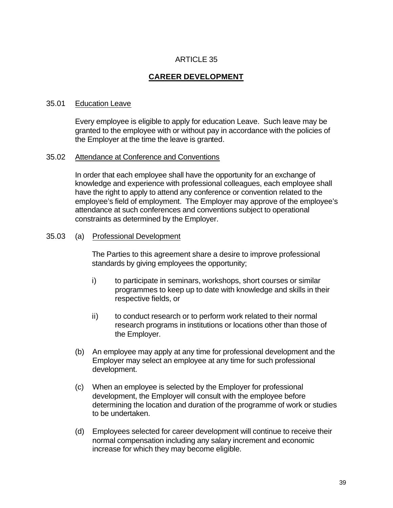# **CAREER DEVELOPMENT**

#### 35.01 Education Leave

Every employee is eligible to apply for education Leave. Such leave may be granted to the employee with or without pay in accordance with the policies of the Employer at the time the leave is granted.

#### 35.02 Attendance at Conference and Conventions

In order that each employee shall have the opportunity for an exchange of knowledge and experience with professional colleagues, each employee shall have the right to apply to attend any conference or convention related to the employee's field of employment. The Employer may approve of the employee's attendance at such conferences and conventions subject to operational constraints as determined by the Employer.

#### 35.03 (a) Professional Development

The Parties to this agreement share a desire to improve professional standards by giving employees the opportunity;

- i) to participate in seminars, workshops, short courses or similar programmes to keep up to date with knowledge and skills in their respective fields, or
- ii) to conduct research or to perform work related to their normal research programs in institutions or locations other than those of the Employer.
- (b) An employee may apply at any time for professional development and the Employer may select an employee at any time for such professional development.
- (c) When an employee is selected by the Employer for professional development, the Employer will consult with the employee before determining the location and duration of the programme of work or studies to be undertaken.
- (d) Employees selected for career development will continue to receive their normal compensation including any salary increment and economic increase for which they may become eligible.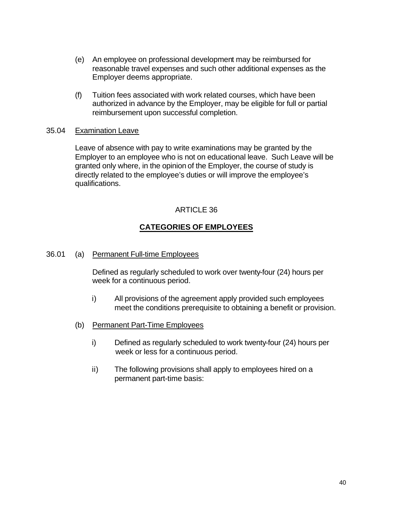- (e) An employee on professional development may be reimbursed for reasonable travel expenses and such other additional expenses as the Employer deems appropriate.
- (f) Tuition fees associated with work related courses, which have been authorized in advance by the Employer, may be eligible for full or partial reimbursement upon successful completion.

#### 35.04 Examination Leave

Leave of absence with pay to write examinations may be granted by the Employer to an employee who is not on educational leave. Such Leave will be granted only where, in the opinion of the Employer, the course of study is directly related to the employee's duties or will improve the employee's qualifications.

### ARTICLE 36

# **CATEGORIES OF EMPLOYEES**

36.01 (a) Permanent Full-time Employees

Defined as regularly scheduled to work over twenty-four (24) hours per week for a continuous period.

- i) All provisions of the agreement apply provided such employees meet the conditions prerequisite to obtaining a benefit or provision.
- (b) Permanent Part-Time Employees
	- i) Defined as regularly scheduled to work twenty-four (24) hours per week or less for a continuous period.
	- ii) The following provisions shall apply to employees hired on a permanent part-time basis: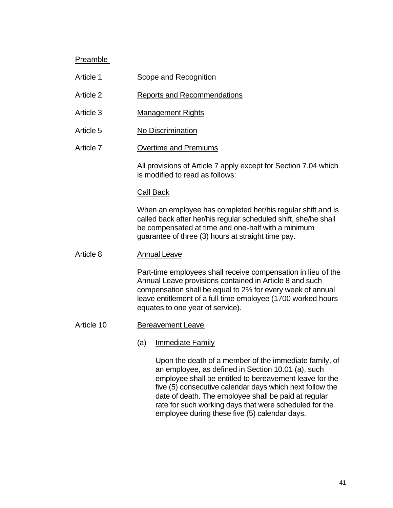### Preamble

- Article 1 Scope and Recognition
- Article 2 Reports and Recommendations
- Article 3 Management Rights
- Article 5 No Discrimination
- Article 7 Overtime and Premiums

All provisions of Article 7 apply except for Section 7.04 which is modified to read as follows:

#### Call Back

When an employee has completed her/his regular shift and is called back after her/his regular scheduled shift, she/he shall be compensated at time and one-half with a minimum guarantee of three (3) hours at straight time pay.

Article 8 Annual Leave

Part-time employees shall receive compensation in lieu of the Annual Leave provisions contained in Article 8 and such compensation shall be equal to 2% for every week of annual leave entitlement of a full-time employee (1700 worked hours equates to one year of service).

Article 10 Bereavement Leave

#### (a) Immediate Family

Upon the death of a member of the immediate family, of an employee, as defined in Section 10.01 (a), such employee shall be entitled to bereavement leave for the five (5) consecutive calendar days which next follow the date of death. The employee shall be paid at regular rate for such working days that were scheduled for the employee during these five (5) calendar days.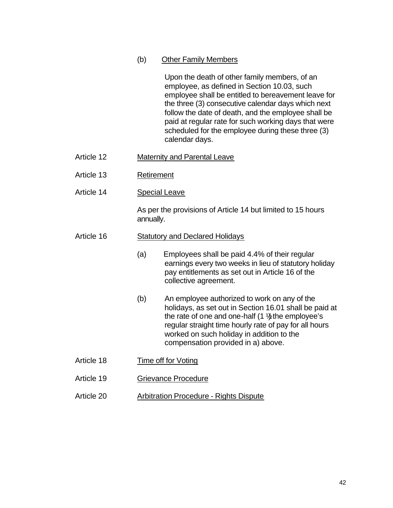(b) Other Family Members

Upon the death of other family members, of an employee, as defined in Section 10.03, such employee shall be entitled to bereavement leave for the three (3) consecutive calendar days which next follow the date of death, and the employee shall be paid at regular rate for such working days that were scheduled for the employee during these three (3) calendar days.

- Article 12 Maternity and Parental Leave
- Article 13 Retirement
- Article 14 Special Leave

As per the provisions of Article 14 but limited to 15 hours annually.

### Article 16 Statutory and Declared Holidays

- (a) Employees shall be paid 4.4% of their regular earnings every two weeks in lieu of statutory holiday pay entitlements as set out in Article 16 of the collective agreement.
- (b) An employee authorized to work on any of the holidays, as set out in Section 16.01 shall be paid at the rate of one and one-half  $(1 \frac{1}{2})$  the employee's regular straight time hourly rate of pay for all hours worked on such holiday in addition to the compensation provided in a) above.
- Article 18 Time off for Voting
- Article 19 Grievance Procedure
- Article 20 Arbitration Procedure Rights Dispute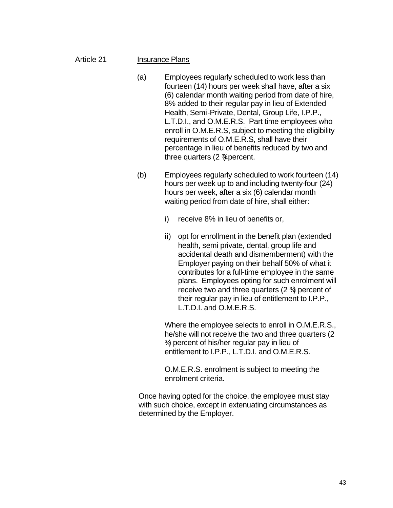#### Article 21 Insurance Plans

- (a) Employees regularly scheduled to work less than fourteen (14) hours per week shall have, after a six (6) calendar month waiting period from date of hire, 8% added to their regular pay in lieu of Extended Health, Semi-Private, Dental, Group Life, I.P.P., L.T.D.I., and O.M.E.R.S. Part time employees who enroll in O.M.E.R.S, subject to meeting the eligibility requirements of O.M.E.R.S, shall have their percentage in lieu of benefits reduced by two and three quarters  $(2 \times p)$  percent.
- (b) Employees regularly scheduled to work fourteen (14) hours per week up to and including twenty-four (24) hours per week, after a six (6) calendar month waiting period from date of hire, shall either:
	- i) receive 8% in lieu of benefits or,
	- ii) opt for enrollment in the benefit plan (extended health, semi private, dental, group life and accidental death and dismemberment) with the Employer paying on their behalf 50% of what it contributes for a full-time employee in the same plans. Employees opting for such enrolment will receive two and three quarters  $(2 \frac{3}{4})$  percent of their regular pay in lieu of entitlement to I.P.P., L.T.D.I. and O.M.E.R.S.

Where the employee selects to enroll in O.M.E.R.S., he/she will not receive the two and three quarters (2 ¾ ) percent of his/her regular pay in lieu of entitlement to I.P.P., L.T.D.I. and O.M.E.R.S.

O.M.E.R.S. enrolment is subject to meeting the enrolment criteria.

Once having opted for the choice, the employee must stay with such choice, except in extenuating circumstances as determined by the Employer.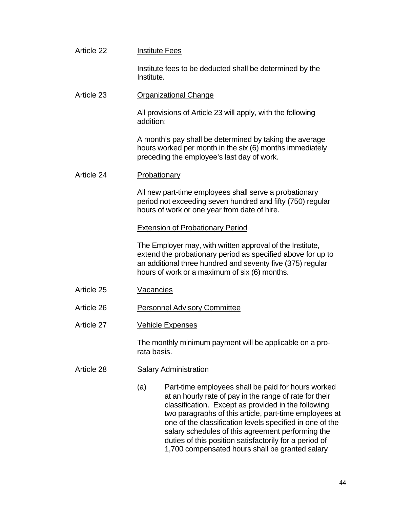| Article 22 | <b>Institute Fees</b>                                                                                                                                                                                                                                                                                                                                                                                                                                               |  |  |
|------------|---------------------------------------------------------------------------------------------------------------------------------------------------------------------------------------------------------------------------------------------------------------------------------------------------------------------------------------------------------------------------------------------------------------------------------------------------------------------|--|--|
|            | Institute fees to be deducted shall be determined by the<br>Institute.                                                                                                                                                                                                                                                                                                                                                                                              |  |  |
| Article 23 | <b>Organizational Change</b>                                                                                                                                                                                                                                                                                                                                                                                                                                        |  |  |
|            | All provisions of Article 23 will apply, with the following<br>addition:                                                                                                                                                                                                                                                                                                                                                                                            |  |  |
|            | A month's pay shall be determined by taking the average<br>hours worked per month in the six (6) months immediately<br>preceding the employee's last day of work.                                                                                                                                                                                                                                                                                                   |  |  |
| Article 24 | Probationary                                                                                                                                                                                                                                                                                                                                                                                                                                                        |  |  |
|            | All new part-time employees shall serve a probationary<br>period not exceeding seven hundred and fifty (750) regular<br>hours of work or one year from date of hire.                                                                                                                                                                                                                                                                                                |  |  |
|            | <b>Extension of Probationary Period</b>                                                                                                                                                                                                                                                                                                                                                                                                                             |  |  |
|            | The Employer may, with written approval of the Institute,<br>extend the probationary period as specified above for up to<br>an additional three hundred and seventy five (375) regular<br>hours of work or a maximum of six (6) months.                                                                                                                                                                                                                             |  |  |
| Article 25 | Vacancies                                                                                                                                                                                                                                                                                                                                                                                                                                                           |  |  |
| Article 26 | <b>Personnel Advisory Committee</b>                                                                                                                                                                                                                                                                                                                                                                                                                                 |  |  |
| Article 27 | Vehicle Expenses                                                                                                                                                                                                                                                                                                                                                                                                                                                    |  |  |
|            | The monthly minimum payment will be applicable on a pro-<br>rata basis.                                                                                                                                                                                                                                                                                                                                                                                             |  |  |
| Article 28 | <b>Salary Administration</b>                                                                                                                                                                                                                                                                                                                                                                                                                                        |  |  |
|            | (a)<br>Part-time employees shall be paid for hours worked<br>at an hourly rate of pay in the range of rate for their<br>classification. Except as provided in the following<br>two paragraphs of this article, part-time employees at<br>one of the classification levels specified in one of the<br>salary schedules of this agreement performing the<br>duties of this position satisfactorily for a period of<br>1,700 compensated hours shall be granted salary |  |  |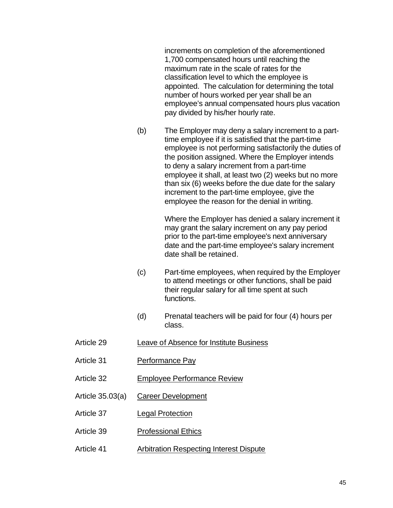increments on completion of the aforementioned 1,700 compensated hours until reaching the maximum rate in the scale of rates for the classification level to which the employee is appointed. The calculation for determining the total number of hours worked per year shall be an employee's annual compensated hours plus vacation pay divided by his/her hourly rate.

(b) The Employer may deny a salary increment to a parttime employee if it is satisfied that the part-time employee is not performing satisfactorily the duties of the position assigned. Where the Employer intends to deny a salary increment from a part-time employee it shall, at least two (2) weeks but no more than six (6) weeks before the due date for the salary increment to the part-time employee, give the employee the reason for the denial in writing.

> Where the Employer has denied a salary increment it may grant the salary increment on any pay period prior to the part-time employee's next anniversary date and the part-time employee's salary increment date shall be retained.

- (c) Part-time employees, when required by the Employer to attend meetings or other functions, shall be paid their regular salary for all time spent at such functions.
- (d) Prenatal teachers will be paid for four (4) hours per class.
- Article 29 Leave of Absence for Institute Business
- Article 31 Performance Pay
- Article 32 Employee Performance Review
- Article 35.03(a) Career Development
- Article 37 Legal Protection
- Article 39 Professional Ethics
- Article 41 Arbitration Respecting Interest Dispute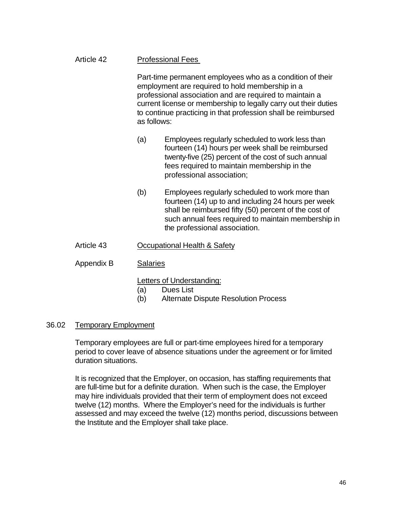# Article 42 Professional Fees

Part-time permanent employees who as a condition of their employment are required to hold membership in a professional association and are required to maintain a current license or membership to legally carry out their duties to continue practicing in that profession shall be reimbursed as follows:

- (a) Employees regularly scheduled to work less than fourteen (14) hours per week shall be reimbursed twenty-five (25) percent of the cost of such annual fees required to maintain membership in the professional association;
- (b) Employees regularly scheduled to work more than fourteen (14) up to and including 24 hours per week shall be reimbursed fifty (50) percent of the cost of such annual fees required to maintain membership in the professional association.

### Article 43 Occupational Health & Safety

### Appendix B Salaries

Letters of Understanding:

- (a) Dues List
- (b) Alternate Dispute Resolution Process

### 36.02 Temporary Employment

Temporary employees are full or part-time employees hired for a temporary period to cover leave of absence situations under the agreement or for limited duration situations.

It is recognized that the Employer, on occasion, has staffing requirements that are full-time but for a definite duration. When such is the case, the Employer may hire individuals provided that their term of employment does not exceed twelve (12) months. Where the Employer's need for the individuals is further assessed and may exceed the twelve (12) months period, discussions between the Institute and the Employer shall take place.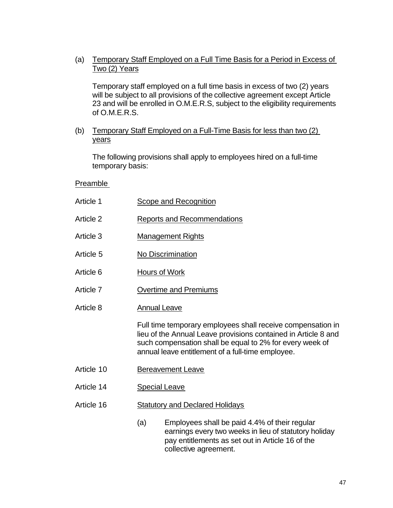(a) Temporary Staff Employed on a Full Time Basis for a Period in Excess of Two (2) Years

Temporary staff employed on a full time basis in excess of two (2) years will be subject to all provisions of the collective agreement except Article 23 and will be enrolled in O.M.E.R.S, subject to the eligibility requirements of O.M.E.R.S.

(b) Temporary Staff Employed on a Full-Time Basis for less than two (2) years

The following provisions shall apply to employees hired on a full-time temporary basis:

### Preamble

| Article 1  | Scope and Recognition                  |                                                                                                                                                                                                                                                |  |  |
|------------|----------------------------------------|------------------------------------------------------------------------------------------------------------------------------------------------------------------------------------------------------------------------------------------------|--|--|
| Article 2  | <b>Reports and Recommendations</b>     |                                                                                                                                                                                                                                                |  |  |
| Article 3  | <b>Management Rights</b>               |                                                                                                                                                                                                                                                |  |  |
| Article 5  | No Discrimination                      |                                                                                                                                                                                                                                                |  |  |
| Article 6  | Hours of Work                          |                                                                                                                                                                                                                                                |  |  |
| Article 7  | <b>Overtime and Premiums</b>           |                                                                                                                                                                                                                                                |  |  |
| Article 8  | <b>Annual Leave</b>                    |                                                                                                                                                                                                                                                |  |  |
|            |                                        | Full time temporary employees shall receive compensation in<br>lieu of the Annual Leave provisions contained in Article 8 and<br>such compensation shall be equal to 2% for every week of<br>annual leave entitlement of a full-time employee. |  |  |
| Article 10 | <b>Bereavement Leave</b>               |                                                                                                                                                                                                                                                |  |  |
| Article 14 | <b>Special Leave</b>                   |                                                                                                                                                                                                                                                |  |  |
| Article 16 | <b>Statutory and Declared Holidays</b> |                                                                                                                                                                                                                                                |  |  |
|            | (a)                                    | Employees shall be paid 4.4% of their regular<br>earnings every two weeks in lieu of statutory holiday<br>pay entitlements as set out in Article 16 of the<br>collective agreement.                                                            |  |  |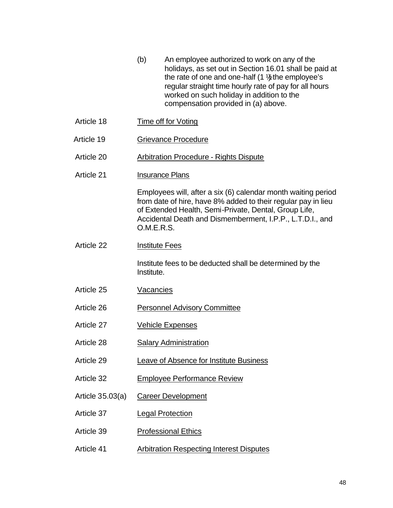- (b) An employee authorized to work on any of the holidays, as set out in Section 16.01 shall be paid at the rate of one and one-half  $(1 \frac{1}{2})$  the employee's regular straight time hourly rate of pay for all hours worked on such holiday in addition to the compensation provided in (a) above.
- Article 18 Time off for Voting
- Article 19 Grievance Procedure
- Article 20 Arbitration Procedure Rights Dispute
- Article 21 **Insurance Plans**

Employees will, after a six (6) calendar month waiting period from date of hire, have 8% added to their regular pay in lieu of Extended Health, Semi-Private, Dental, Group Life, Accidental Death and Dismemberment, I.P.P., L.T.D.I., and O.M.E.R.S.

Article 22 Institute Fees

Institute fees to be deducted shall be determined by the Institute.

- Article 25 Vacancies
- Article 26 Personnel Advisory Committee
- Article 27 Vehicle Expenses
- Article 28 Salary Administration
- Article 29 Leave of Absence for Institute Business
- Article 32 Employee Performance Review
- Article 35.03(a) Career Development
- Article 37 Legal Protection
- Article 39 Professional Ethics
- Article 41 Arbitration Respecting Interest Disputes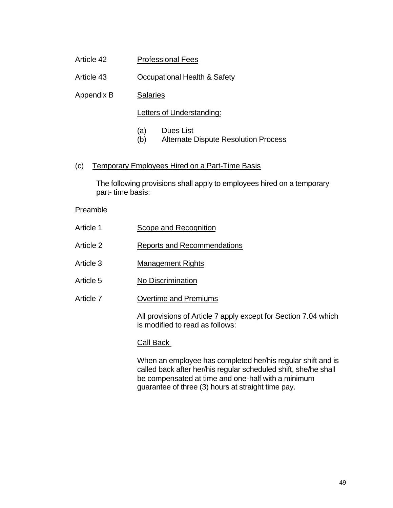- Article 42 Professional Fees
- Article 43 Occupational Health & Safety
- Appendix B Salaries

Letters of Understanding:

- (a) Dues List
- (b) Alternate Dispute Resolution Process
- (c) Temporary Employees Hired on a Part-Time Basis

The following provisions shall apply to employees hired on a temporary part- time basis:

Preamble

| Article 1 | Scope and Recognition                                                                              |
|-----------|----------------------------------------------------------------------------------------------------|
| Article 2 | Reports and Recommendations                                                                        |
| Article 3 | <b>Management Rights</b>                                                                           |
| Article 5 | No Discrimination                                                                                  |
| Article 7 | <b>Overtime and Premiums</b>                                                                       |
|           | All provisions of Article 7 apply except for Section 7.04 which<br>is modified to read as follows: |

#### Call Back

When an employee has completed her/his regular shift and is called back after her/his regular scheduled shift, she/he shall be compensated at time and one-half with a minimum guarantee of three (3) hours at straight time pay.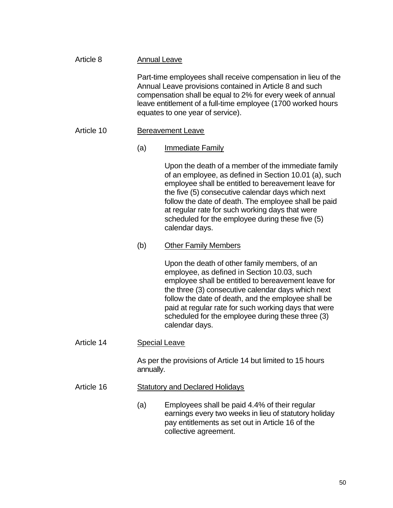| Article 8  | <b>Annual Leave</b><br>Part-time employees shall receive compensation in lieu of the<br>Annual Leave provisions contained in Article 8 and such<br>compensation shall be equal to 2% for every week of annual<br>leave entitlement of a full-time employee (1700 worked hours<br>equates to one year of service). |                                                                                                                                                                                                                                                                                                                                                                                                          |  |
|------------|-------------------------------------------------------------------------------------------------------------------------------------------------------------------------------------------------------------------------------------------------------------------------------------------------------------------|----------------------------------------------------------------------------------------------------------------------------------------------------------------------------------------------------------------------------------------------------------------------------------------------------------------------------------------------------------------------------------------------------------|--|
|            |                                                                                                                                                                                                                                                                                                                   |                                                                                                                                                                                                                                                                                                                                                                                                          |  |
| Article 10 | <b>Bereavement Leave</b>                                                                                                                                                                                                                                                                                          |                                                                                                                                                                                                                                                                                                                                                                                                          |  |
|            | (a)                                                                                                                                                                                                                                                                                                               | Immediate Family                                                                                                                                                                                                                                                                                                                                                                                         |  |
|            |                                                                                                                                                                                                                                                                                                                   | Upon the death of a member of the immediate family<br>of an employee, as defined in Section 10.01 (a), such<br>employee shall be entitled to bereavement leave for<br>the five (5) consecutive calendar days which next<br>follow the date of death. The employee shall be paid<br>at regular rate for such working days that were<br>scheduled for the employee during these five (5)<br>calendar days. |  |
|            | (b)                                                                                                                                                                                                                                                                                                               | <b>Other Family Members</b>                                                                                                                                                                                                                                                                                                                                                                              |  |
|            |                                                                                                                                                                                                                                                                                                                   | Upon the death of other family members, of an<br>employee, as defined in Section 10.03, such<br>employee shall be entitled to bereavement leave for<br>the three (3) consecutive calendar days which next<br>follow the date of death, and the employee shall be<br>paid at regular rate for such working days that were<br>scheduled for the employee during these three (3)<br>calendar days.          |  |
| Article 14 | <b>Special Leave</b>                                                                                                                                                                                                                                                                                              |                                                                                                                                                                                                                                                                                                                                                                                                          |  |
|            | As per the provisions of Article 14 but limited to 15 hours<br>annually.                                                                                                                                                                                                                                          |                                                                                                                                                                                                                                                                                                                                                                                                          |  |
| Article 16 | <b>Statutory and Declared Holidays</b>                                                                                                                                                                                                                                                                            |                                                                                                                                                                                                                                                                                                                                                                                                          |  |
|            | (a)                                                                                                                                                                                                                                                                                                               | Employees shall be paid 4.4% of their regular<br>earnings every two weeks in lieu of statutory holiday<br>pay entitlements as set out in Article 16 of the                                                                                                                                                                                                                                               |  |

collective agreement.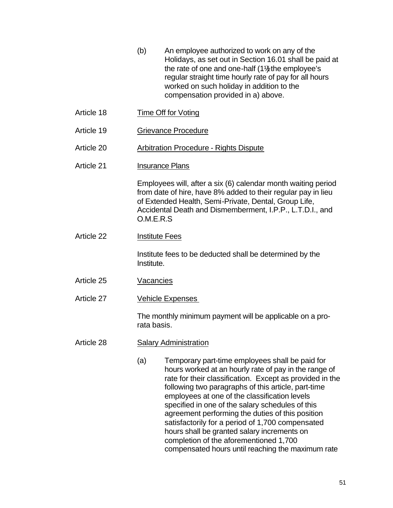- (b) An employee authorized to work on any of the Holidays, as set out in Section 16.01 shall be paid at the rate of one and one-half  $(1\frac{1}{2})$  the employee's regular straight time hourly rate of pay for all hours worked on such holiday in addition to the compensation provided in a) above.
- Article 18 Time Off for Voting
- Article 19 Grievance Procedure
- Article 20 Arbitration Procedure Rights Dispute
- Article 21 **Insurance Plans**

Employees will, after a six (6) calendar month waiting period from date of hire, have 8% added to their regular pay in lieu of Extended Health, Semi-Private, Dental, Group Life, Accidental Death and Dismemberment, I.P.P., L.T.D.I., and O.M.E.R.S

Article 22 Institute Fees

Institute fees to be deducted shall be determined by the Institute.

- Article 25 Vacancies
- Article 27 Vehicle Expenses

The monthly minimum payment will be applicable on a prorata basis.

### Article 28 Salary Administration

(a) Temporary part-time employees shall be paid for hours worked at an hourly rate of pay in the range of rate for their classification. Except as provided in the following two paragraphs of this article, part-time employees at one of the classification levels specified in one of the salary schedules of this agreement performing the duties of this position satisfactorily for a period of 1,700 compensated hours shall be granted salary increments on completion of the aforementioned 1,700 compensated hours until reaching the maximum rate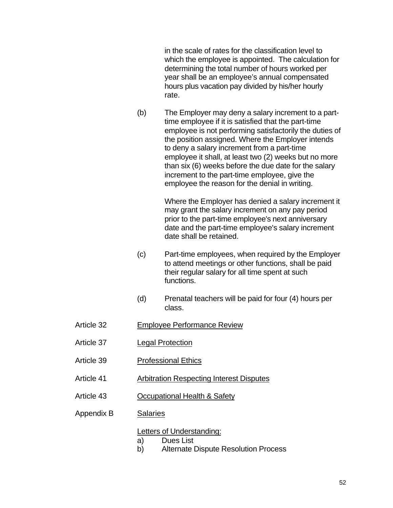in the scale of rates for the classification level to which the employee is appointed. The calculation for determining the total number of hours worked per year shall be an employee's annual compensated hours plus vacation pay divided by his/her hourly rate.

(b) The Employer may deny a salary increment to a parttime employee if it is satisfied that the part-time employee is not performing satisfactorily the duties of the position assigned. Where the Employer intends to deny a salary increment from a part-time employee it shall, at least two (2) weeks but no more than six (6) weeks before the due date for the salary increment to the part-time employee, give the employee the reason for the denial in writing.

> Where the Employer has denied a salary increment it may grant the salary increment on any pay period prior to the part-time employee's next anniversary date and the part-time employee's salary increment date shall be retained.

- (c) Part-time employees, when required by the Employer to attend meetings or other functions, shall be paid their regular salary for all time spent at such functions.
- (d) Prenatal teachers will be paid for four (4) hours per class.
- Article 32 Employee Performance Review
- Article 37 Legal Protection
- Article 39 Professional Ethics
- Article 41 Arbitration Respecting Interest Disputes
- Article 43 Occupational Health & Safety
- Appendix B Salaries

#### Letters of Understanding:

- a) Dues List
- b) Alternate Dispute Resolution Process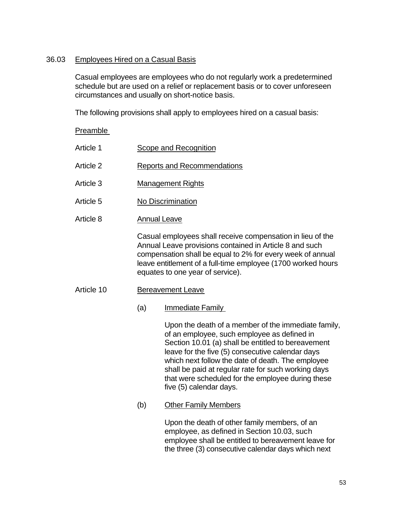### 36.03 Employees Hired on a Casual Basis

Casual employees are employees who do not regularly work a predetermined schedule but are used on a relief or replacement basis or to cover unforeseen circumstances and usually on short-notice basis.

The following provisions shall apply to employees hired on a casual basis:

# Preamble Article 1 Scope and Recognition Article 2 Reports and Recommendations Article 3 Management Rights Article 5 No Discrimination Article 8 Annual Leave Casual employees shall receive compensation in lieu of the Annual Leave provisions contained in Article 8 and such compensation shall be equal to 2% for every week of annual leave entitlement of a full-time employee (1700 worked hours equates to one year of service). Article 10 Bereavement Leave (a) Immediate Family Upon the death of a member of the immediate family, of an employee, such employee as defined in Section 10.01 (a) shall be entitled to bereavement leave for the five (5) consecutive calendar days which next follow the date of death. The employee shall be paid at regular rate for such working days that were scheduled for the employee during these five (5) calendar days. (b) Other Family Members Upon the death of other family members, of an employee, as defined in Section 10.03, such employee shall be entitled to bereavement leave for

the three (3) consecutive calendar days which next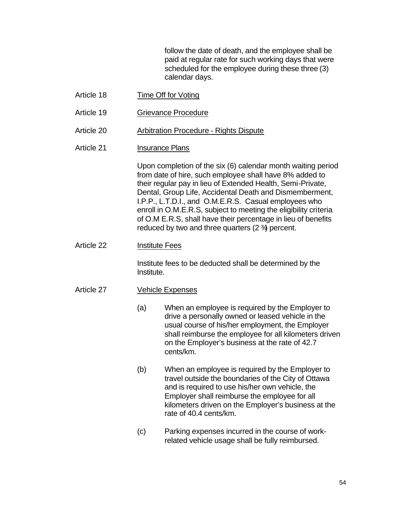follow the date of death, and the employee shall be paid at regular rate for such working days that were scheduled for the employee during these three (3) calendar days.

- Article 18 Time Off for Voting
- Article 19 Grievance Procedure
- Article 20 Arbitration Procedure Rights Dispute
- Article 21 **Insurance Plans**

Upon completion of the six (6) calendar month waiting period from date of hire, such employee shall have 8% added to their regular pay in lieu of Extended Health, Semi-Private, Dental, Group Life, Accidental Death and Dismemberment, I.P.P., L.T.D.I., and O.M.E.R.S. Casual employees who enroll in O.M.E.R.S, subject to meeting the eligibility criteria of O.M E.R.S, shall have their percentage in lieu of benefits reduced by two and three quarters  $(2 \frac{3}{4})$  percent.

Article 22 Institute Fees

Institute fees to be deducted shall be determined by the Institute.

#### Article 27 Vehicle Expenses

- (a) When an employee is required by the Employer to drive a personally owned or leased vehicle in the usual course of his/her employment, the Employer shall reimburse the employee for all kilometers driven on the Employer's business at the rate of 42.7 cents/km.
- (b) When an employee is required by the Employer to travel outside the boundaries of the City of Ottawa and is required to use his/her own vehicle, the Employer shall reimburse the employee for all kilometers driven on the Employer's business at the rate of 40.4 cents/km.
- (c) Parking expenses incurred in the course of workrelated vehicle usage shall be fully reimbursed.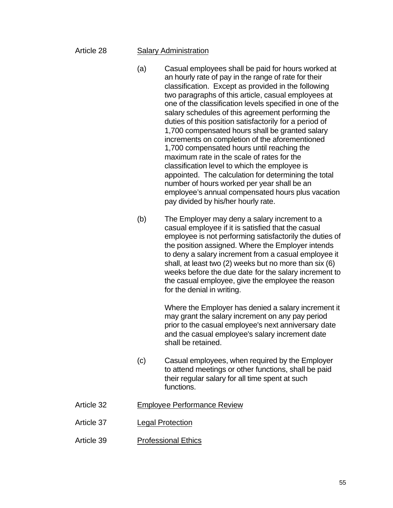### Article 28 Salary Administration

- (a) Casual employees shall be paid for hours worked at an hourly rate of pay in the range of rate for their classification. Except as provided in the following two paragraphs of this article, casual employees at one of the classification levels specified in one of the salary schedules of this agreement performing the duties of this position satisfactorily for a period of 1,700 compensated hours shall be granted salary increments on completion of the aforementioned 1,700 compensated hours until reaching the maximum rate in the scale of rates for the classification level to which the employee is appointed. The calculation for determining the total number of hours worked per year shall be an employee's annual compensated hours plus vacation pay divided by his/her hourly rate.
- (b) The Employer may deny a salary increment to a casual employee if it is satisfied that the casual employee is not performing satisfactorily the duties of the position assigned. Where the Employer intends to deny a salary increment from a casual employee it shall, at least two (2) weeks but no more than six (6) weeks before the due date for the salary increment to the casual employee, give the employee the reason for the denial in writing.

Where the Employer has denied a salary increment it may grant the salary increment on any pay period prior to the casual employee's next anniversary date and the casual employee's salary increment date shall be retained.

- (c) Casual employees, when required by the Employer to attend meetings or other functions, shall be paid their regular salary for all time spent at such functions.
- Article 32 Employee Performance Review
- Article 37 Legal Protection
- Article 39 Professional Ethics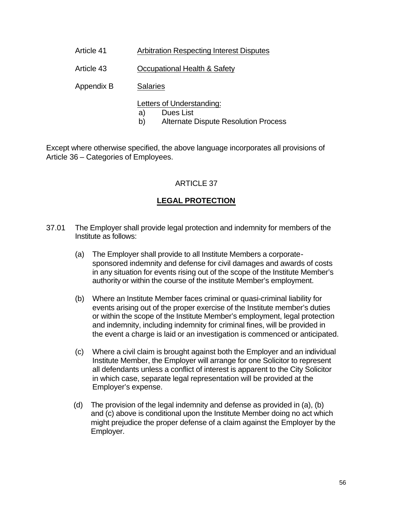- Article 41 Arbitration Respecting Interest Disputes
- Article 43 Occupational Health & Safety
- Appendix B Salaries
	- Letters of Understanding:
	- a) Dues List
	- b) Alternate Dispute Resolution Process

Except where otherwise specified, the above language incorporates all provisions of Article 36 – Categories of Employees.

# ARTICLE 37

# **LEGAL PROTECTION**

- 37.01 The Employer shall provide legal protection and indemnity for members of the Institute as follows:
	- (a) The Employer shall provide to all Institute Members a corporatesponsored indemnity and defense for civil damages and awards of costs in any situation for events rising out of the scope of the Institute Member's authority or within the course of the institute Member's employment.
	- (b) Where an Institute Member faces criminal or quasi-criminal liability for events arising out of the proper exercise of the Institute member's duties or within the scope of the Institute Member's employment, legal protection and indemnity, including indemnity for criminal fines, will be provided in the event a charge is laid or an investigation is commenced or anticipated.
	- (c) Where a civil claim is brought against both the Employer and an individual Institute Member, the Employer will arrange for one Solicitor to represent all defendants unless a conflict of interest is apparent to the City Solicitor in which case, separate legal representation will be provided at the Employer's expense.
	- (d) The provision of the legal indemnity and defense as provided in (a), (b) and (c) above is conditional upon the Institute Member doing no act which might prejudice the proper defense of a claim against the Employer by the Employer.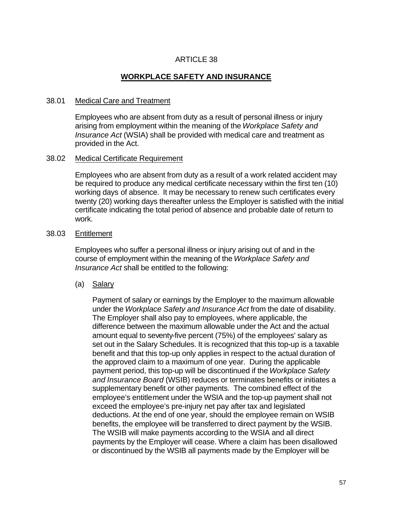# **WORKPLACE SAFETY AND INSURANCE**

#### 38.01 Medical Care and Treatment

Employees who are absent from duty as a result of personal illness or injury arising from employment within the meaning of the *Workplace Safety and Insurance Act* (WSIA) shall be provided with medical care and treatment as provided in the Act.

#### 38.02 Medical Certificate Requirement

Employees who are absent from duty as a result of a work related accident may be required to produce any medical certificate necessary within the first ten (10) working days of absence. It may be necessary to renew such certificates every twenty (20) working days thereafter unless the Employer is satisfied with the initial certificate indicating the total period of absence and probable date of return to work.

#### 38.03 Entitlement

Employees who suffer a personal illness or injury arising out of and in the course of employment within the meaning of the *Workplace Safety and Insurance Act* shall be entitled to the following:

(a) Salary

Payment of salary or earnings by the Employer to the maximum allowable under the *Workplace Safety and Insurance Act* from the date of disability. The Employer shall also pay to employees, where applicable, the difference between the maximum allowable under the Act and the actual amount equal to seventy-five percent (75%) of the employees' salary as set out in the Salary Schedules. It is recognized that this top-up is a taxable benefit and that this top-up only applies in respect to the actual duration of the approved claim to a maximum of one year. During the applicable payment period, this top-up will be discontinued if the *Workplace Safety and Insurance Board* (WSIB) reduces or terminates benefits or initiates a supplementary benefit or other payments. The combined effect of the employee's entitlement under the WSIA and the top-up payment shall not exceed the employee's pre-injury net pay after tax and legislated deductions. At the end of one year, should the employee remain on WSIB benefits, the employee will be transferred to direct payment by the WSIB. The WSIB will make payments according to the WSIA and all direct payments by the Employer will cease. Where a claim has been disallowed or discontinued by the WSIB all payments made by the Employer will be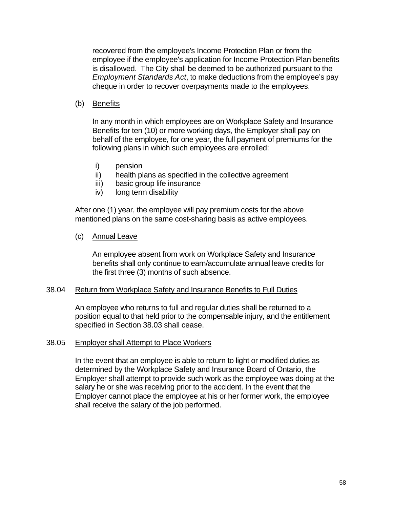recovered from the employee's Income Protection Plan or from the employee if the employee's application for Income Protection Plan benefits is disallowed. The City shall be deemed to be authorized pursuant to the *Employment Standards Act*, to make deductions from the employee's pay cheque in order to recover overpayments made to the employees.

### (b) Benefits

In any month in which employees are on Workplace Safety and Insurance Benefits for ten (10) or more working days, the Employer shall pay on behalf of the employee, for one year, the full payment of premiums for the following plans in which such employees are enrolled:

- i) pension
- ii) health plans as specified in the collective agreement
- iii) basic group life insurance
- iv) long term disability

After one (1) year, the employee will pay premium costs for the above mentioned plans on the same cost-sharing basis as active employees.

#### (c) Annual Leave

An employee absent from work on Workplace Safety and Insurance benefits shall only continue to earn/accumulate annual leave credits for the first three (3) months of such absence.

#### 38.04 Return from Workplace Safety and Insurance Benefits to Full Duties

An employee who returns to full and regular duties shall be returned to a position equal to that held prior to the compensable injury, and the entitlement specified in Section 38.03 shall cease.

#### 38.05 Employer shall Attempt to Place Workers

In the event that an employee is able to return to light or modified duties as determined by the Workplace Safety and Insurance Board of Ontario, the Employer shall attempt to provide such work as the employee was doing at the salary he or she was receiving prior to the accident. In the event that the Employer cannot place the employee at his or her former work, the employee shall receive the salary of the job performed.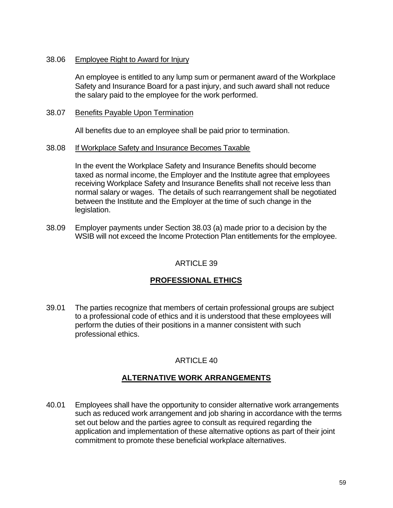### 38.06 Employee Right to Award for Injury

An employee is entitled to any lump sum or permanent award of the Workplace Safety and Insurance Board for a past injury, and such award shall not reduce the salary paid to the employee for the work performed.

### 38.07 Benefits Payable Upon Termination

All benefits due to an employee shall be paid prior to termination.

#### 38.08 If Workplace Safety and Insurance Becomes Taxable

In the event the Workplace Safety and Insurance Benefits should become taxed as normal income, the Employer and the Institute agree that employees receiving Workplace Safety and Insurance Benefits shall not receive less than normal salary or wages. The details of such rearrangement shall be negotiated between the Institute and the Employer at the time of such change in the legislation.

38.09 Employer payments under Section 38.03 (a) made prior to a decision by the WSIB will not exceed the Income Protection Plan entitlements for the employee.

### ARTICLE 39

# **PROFESSIONAL ETHICS**

39.01 The parties recognize that members of certain professional groups are subject to a professional code of ethics and it is understood that these employees will perform the duties of their positions in a manner consistent with such professional ethics.

### ARTICLE 40

# **ALTERNATIVE WORK ARRANGEMENTS**

40.01 Employees shall have the opportunity to consider alternative work arrangements such as reduced work arrangement and job sharing in accordance with the terms set out below and the parties agree to consult as required regarding the application and implementation of these alternative options as part of their joint commitment to promote these beneficial workplace alternatives.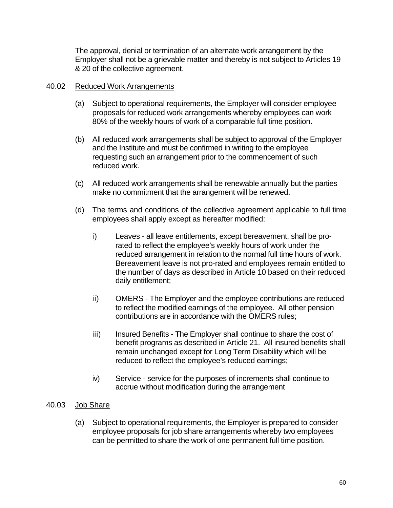The approval, denial or termination of an alternate work arrangement by the Employer shall not be a grievable matter and thereby is not subject to Articles 19 & 20 of the collective agreement.

### 40.02 Reduced Work Arrangements

- (a) Subject to operational requirements, the Employer will consider employee proposals for reduced work arrangements whereby employees can work 80% of the weekly hours of work of a comparable full time position.
- (b) All reduced work arrangements shall be subject to approval of the Employer and the Institute and must be confirmed in writing to the employee requesting such an arrangement prior to the commencement of such reduced work.
- (c) All reduced work arrangements shall be renewable annually but the parties make no commitment that the arrangement will be renewed.
- (d) The terms and conditions of the collective agreement applicable to full time employees shall apply except as hereafter modified:
	- i) Leaves all leave entitlements, except bereavement, shall be prorated to reflect the employee's weekly hours of work under the reduced arrangement in relation to the normal full time hours of work. Bereavement leave is not pro-rated and employees remain entitled to the number of days as described in Article 10 based on their reduced daily entitlement;
	- ii) OMERS The Employer and the employee contributions are reduced to reflect the modified earnings of the employee. All other pension contributions are in accordance with the OMERS rules;
	- iii) Insured Benefits The Employer shall continue to share the cost of benefit programs as described in Article 21. All insured benefits shall remain unchanged except for Long Term Disability which will be reduced to reflect the employee's reduced earnings;
	- iv) Service service for the purposes of increments shall continue to accrue without modification during the arrangement

### 40.03 Job Share

(a) Subject to operational requirements, the Employer is prepared to consider employee proposals for job share arrangements whereby two employees can be permitted to share the work of one permanent full time position.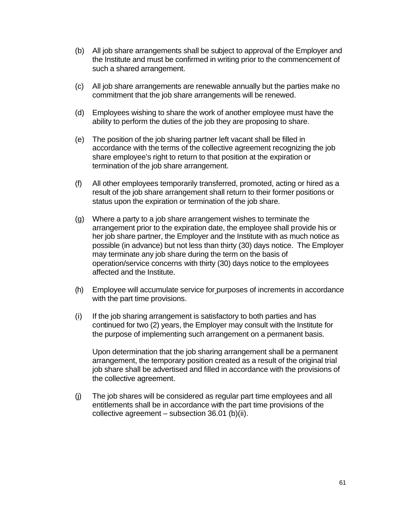- (b) All job share arrangements shall be subject to approval of the Employer and the Institute and must be confirmed in writing prior to the commencement of such a shared arrangement.
- (c) All job share arrangements are renewable annually but the parties make no commitment that the job share arrangements will be renewed.
- (d) Employees wishing to share the work of another employee must have the ability to perform the duties of the job they are proposing to share.
- (e) The position of the job sharing partner left vacant shall be filled in accordance with the terms of the collective agreement recognizing the job share employee's right to return to that position at the expiration or termination of the job share arrangement.
- (f) All other employees temporarily transferred, promoted, acting or hired as a result of the job share arrangement shall return to their former positions or status upon the expiration or termination of the job share.
- (g) Where a party to a job share arrangement wishes to terminate the arrangement prior to the expiration date, the employee shall provide his or her job share partner, the Employer and the Institute with as much notice as possible (in advance) but not less than thirty (30) days notice. The Employer may terminate any job share during the term on the basis of operation/service concerns with thirty (30) days notice to the employees affected and the Institute.
- (h) Employee will accumulate service for purposes of increments in accordance with the part time provisions.
- (i) If the job sharing arrangement is satisfactory to both parties and has continued for two (2) years, the Employer may consult with the Institute for the purpose of implementing such arrangement on a permanent basis.

Upon determination that the job sharing arrangement shall be a permanent arrangement, the temporary position created as a result of the original trial job share shall be advertised and filled in accordance with the provisions of the collective agreement.

(j) The job shares will be considered as regular part time employees and all entitlements shall be in accordance with the part time provisions of the collective agreement – subsection 36.01 (b)(ii).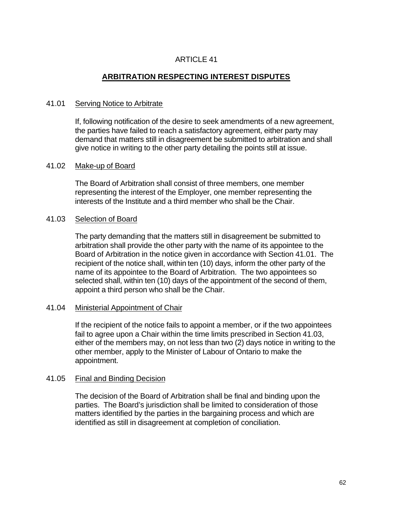# **ARBITRATION RESPECTING INTEREST DISPUTES**

### 41.01 Serving Notice to Arbitrate

If, following notification of the desire to seek amendments of a new agreement, the parties have failed to reach a satisfactory agreement, either party may demand that matters still in disagreement be submitted to arbitration and shall give notice in writing to the other party detailing the points still at issue.

#### 41.02 Make-up of Board

The Board of Arbitration shall consist of three members, one member representing the interest of the Employer, one member representing the interests of the Institute and a third member who shall be the Chair.

#### 41.03 Selection of Board

The party demanding that the matters still in disagreement be submitted to arbitration shall provide the other party with the name of its appointee to the Board of Arbitration in the notice given in accordance with Section 41.01. The recipient of the notice shall, within ten (10) days, inform the other party of the name of its appointee to the Board of Arbitration. The two appointees so selected shall, within ten (10) days of the appointment of the second of them, appoint a third person who shall be the Chair.

#### 41.04 Ministerial Appointment of Chair

If the recipient of the notice fails to appoint a member, or if the two appointees fail to agree upon a Chair within the time limits prescribed in Section 41.03, either of the members may, on not less than two (2) days notice in writing to the other member, apply to the Minister of Labour of Ontario to make the appointment.

### 41.05 Final and Binding Decision

The decision of the Board of Arbitration shall be final and binding upon the parties. The Board's jurisdiction shall be limited to consideration of those matters identified by the parties in the bargaining process and which are identified as still in disagreement at completion of conciliation.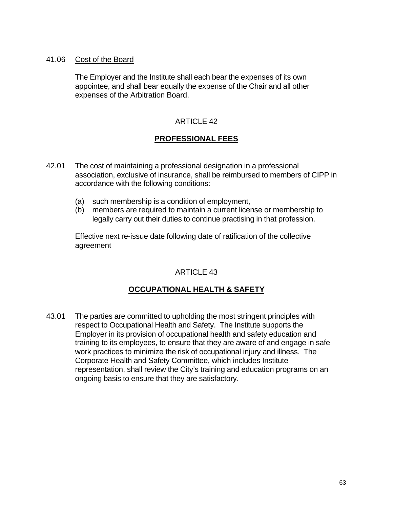### 41.06 Cost of the Board

The Employer and the Institute shall each bear the expenses of its own appointee, and shall bear equally the expense of the Chair and all other expenses of the Arbitration Board.

### ARTICLE 42

# **PROFESSIONAL FEES**

- 42.01 The cost of maintaining a professional designation in a professional association, exclusive of insurance, shall be reimbursed to members of CIPP in accordance with the following conditions:
	- (a) such membership is a condition of employment,
	- (b) members are required to maintain a current license or membership to legally carry out their duties to continue practising in that profession.

Effective next re-issue date following date of ratification of the collective agreement

# ARTICLE 43

# **OCCUPATIONAL HEALTH & SAFETY**

43.01 The parties are committed to upholding the most stringent principles with respect to Occupational Health and Safety. The Institute supports the Employer in its provision of occupational health and safety education and training to its employees, to ensure that they are aware of and engage in safe work practices to minimize the risk of occupational injury and illness. The Corporate Health and Safety Committee, which includes Institute representation, shall review the City's training and education programs on an ongoing basis to ensure that they are satisfactory.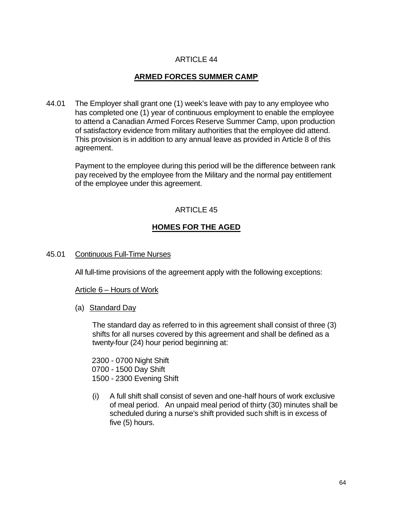# **ARMED FORCES SUMMER CAMP**

44.01 The Employer shall grant one (1) week's leave with pay to any employee who has completed one (1) year of continuous employment to enable the employee to attend a Canadian Armed Forces Reserve Summer Camp, upon production of satisfactory evidence from military authorities that the employee did attend. This provision is in addition to any annual leave as provided in Article 8 of this agreement.

Payment to the employee during this period will be the difference between rank pay received by the employee from the Military and the normal pay entitlement of the employee under this agreement.

### ARTICLE 45

# **HOMES FOR THE AGED**

45.01 Continuous Full-Time Nurses

All full-time provisions of the agreement apply with the following exceptions:

#### Article 6 – Hours of Work

(a) Standard Day

The standard day as referred to in this agreement shall consist of three (3) shifts for all nurses covered by this agreement and shall be defined as a twenty-four (24) hour period beginning at:

2300 - 0700 Night Shift 0700 - 1500 Day Shift 1500 - 2300 Evening Shift

(i) A full shift shall consist of seven and one-half hours of work exclusive of meal period. An unpaid meal period of thirty (30) minutes shall be scheduled during a nurse's shift provided such shift is in excess of five (5) hours.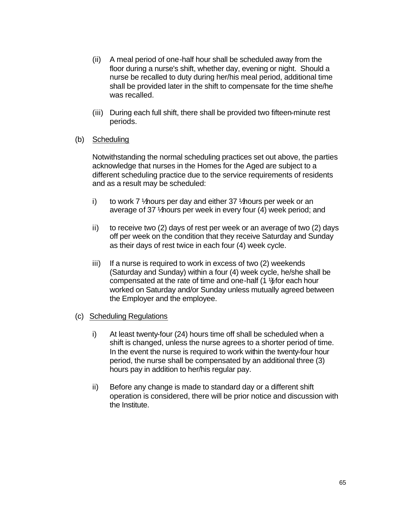- (ii) A meal period of one-half hour shall be scheduled away from the floor during a nurse's shift, whether day, evening or night. Should a nurse be recalled to duty during her/his meal period, additional time shall be provided later in the shift to compensate for the time she/he was recalled.
- (iii) During each full shift, there shall be provided two fifteen-minute rest periods.
- (b) Scheduling

Notwithstanding the normal scheduling practices set out above, the parties acknowledge that nurses in the Homes for the Aged are subject to a different scheduling practice due to the service requirements of residents and as a result may be scheduled:

- i) to work 7  $\frac{1}{2}$  hours per day and either 37  $\frac{1}{2}$  hours per week or an average of 37 \thours per week in every four (4) week period; and
- ii) to receive two (2) days of rest per week or an average of two (2) days off per week on the condition that they receive Saturday and Sunday as their days of rest twice in each four (4) week cycle.
- iii) If a nurse is required to work in excess of two (2) weekends (Saturday and Sunday) within a four (4) week cycle, he/she shall be compensated at the rate of time and one-half  $(1 \frac{1}{2})$  for each hour worked on Saturday and/or Sunday unless mutually agreed between the Employer and the employee.
- (c) Scheduling Regulations
	- i) At least twenty-four (24) hours time off shall be scheduled when a shift is changed, unless the nurse agrees to a shorter period of time. In the event the nurse is required to work within the twenty-four hour period, the nurse shall be compensated by an additional three (3) hours pay in addition to her/his regular pay.
	- ii) Before any change is made to standard day or a different shift operation is considered, there will be prior notice and discussion with the Institute.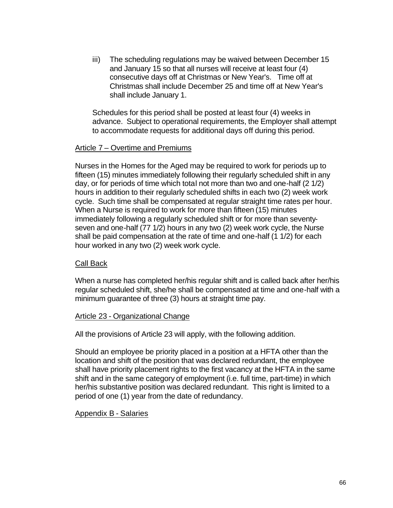iii) The scheduling regulations may be waived between December 15 and January 15 so that all nurses will receive at least four (4) consecutive days off at Christmas or New Year's. Time off at Christmas shall include December 25 and time off at New Year's shall include January 1.

Schedules for this period shall be posted at least four (4) weeks in advance. Subject to operational requirements, the Employer shall attempt to accommodate requests for additional days off during this period.

### Article 7 – Overtime and Premiums

Nurses in the Homes for the Aged may be required to work for periods up to fifteen (15) minutes immediately following their regularly scheduled shift in any day, or for periods of time which total not more than two and one-half (2 1/2) hours in addition to their regularly scheduled shifts in each two (2) week work cycle. Such time shall be compensated at regular straight time rates per hour. When a Nurse is required to work for more than fifteen (15) minutes immediately following a regularly scheduled shift or for more than seventyseven and one-half (77 1/2) hours in any two (2) week work cycle, the Nurse shall be paid compensation at the rate of time and one-half (1 1/2) for each hour worked in any two (2) week work cycle.

### Call Back

When a nurse has completed her/his regular shift and is called back after her/his regular scheduled shift, she/he shall be compensated at time and one-half with a minimum guarantee of three (3) hours at straight time pay.

#### Article 23 - Organizational Change

All the provisions of Article 23 will apply, with the following addition.

Should an employee be priority placed in a position at a HFTA other than the location and shift of the position that was declared redundant, the employee shall have priority placement rights to the first vacancy at the HFTA in the same shift and in the same category of employment (i.e. full time, part-time) in which her/his substantive position was declared redundant. This right is limited to a period of one (1) year from the date of redundancy.

### Appendix B - Salaries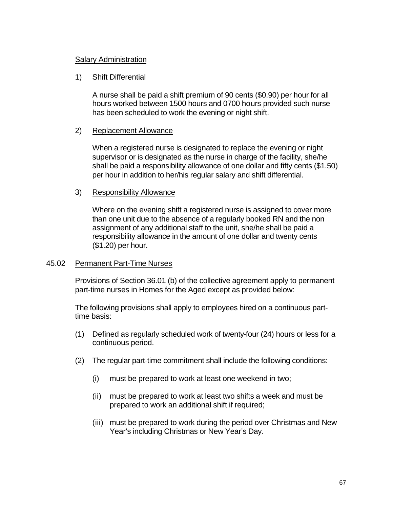### Salary Administration

### 1) Shift Differential

A nurse shall be paid a shift premium of 90 cents (\$0.90) per hour for all hours worked between 1500 hours and 0700 hours provided such nurse has been scheduled to work the evening or night shift.

#### 2) Replacement Allowance

When a registered nurse is designated to replace the evening or night supervisor or is designated as the nurse in charge of the facility, she/he shall be paid a responsibility allowance of one dollar and fifty cents (\$1.50) per hour in addition to her/his regular salary and shift differential.

#### 3) Responsibility Allowance

Where on the evening shift a registered nurse is assigned to cover more than one unit due to the absence of a regularly booked RN and the non assignment of any additional staff to the unit, she/he shall be paid a responsibility allowance in the amount of one dollar and twenty cents (\$1.20) per hour.

#### 45.02 Permanent Part-Time Nurses

Provisions of Section 36.01 (b) of the collective agreement apply to permanent part-time nurses in Homes for the Aged except as provided below:

The following provisions shall apply to employees hired on a continuous parttime basis:

- (1) Defined as regularly scheduled work of twenty-four (24) hours or less for a continuous period.
- (2) The regular part-time commitment shall include the following conditions:
	- (i) must be prepared to work at least one weekend in two;
	- (ii) must be prepared to work at least two shifts a week and must be prepared to work an additional shift if required;
	- (iii) must be prepared to work during the period over Christmas and New Year's including Christmas or New Year's Day.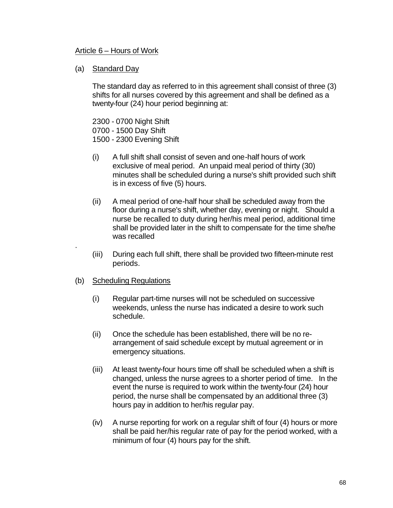#### Article 6 – Hours of Work

#### (a) Standard Day

The standard day as referred to in this agreement shall consist of three (3) shifts for all nurses covered by this agreement and shall be defined as a twenty-four (24) hour period beginning at:

2300 - 0700 Night Shift 0700 - 1500 Day Shift 1500 - 2300 Evening Shift

- (i) A full shift shall consist of seven and one-half hours of work exclusive of meal period. An unpaid meal period of thirty (30) minutes shall be scheduled during a nurse's shift provided such shift is in excess of five (5) hours.
- (ii) A meal period of one-half hour shall be scheduled away from the floor during a nurse's shift, whether day, evening or night. Should a nurse be recalled to duty during her/his meal period, additional time shall be provided later in the shift to compensate for the time she/he was recalled
- (iii) During each full shift, there shall be provided two fifteen-minute rest periods.
- (b) Scheduling Regulations

.

- (i) Regular part-time nurses will not be scheduled on successive weekends, unless the nurse has indicated a desire to work such schedule.
- (ii) Once the schedule has been established, there will be no rearrangement of said schedule except by mutual agreement or in emergency situations.
- (iii) At least twenty-four hours time off shall be scheduled when a shift is changed, unless the nurse agrees to a shorter period of time. In the event the nurse is required to work within the twenty-four (24) hour period, the nurse shall be compensated by an additional three (3) hours pay in addition to her/his regular pay.
- (iv) A nurse reporting for work on a regular shift of four (4) hours or more shall be paid her/his regular rate of pay for the period worked, with a minimum of four (4) hours pay for the shift.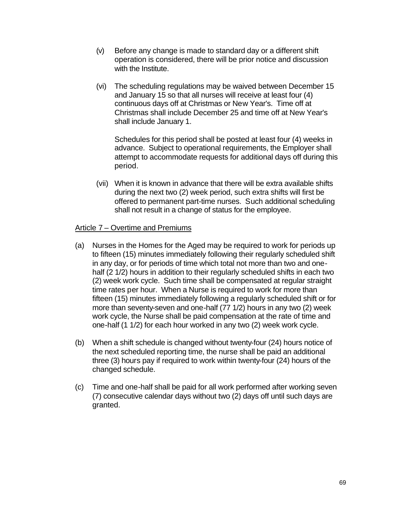- (v) Before any change is made to standard day or a different shift operation is considered, there will be prior notice and discussion with the Institute.
- (vi) The scheduling regulations may be waived between December 15 and January 15 so that all nurses will receive at least four (4) continuous days off at Christmas or New Year's. Time off at Christmas shall include December 25 and time off at New Year's shall include January 1.

Schedules for this period shall be posted at least four (4) weeks in advance. Subject to operational requirements, the Employer shall attempt to accommodate requests for additional days off during this period.

(vii) When it is known in advance that there will be extra available shifts during the next two (2) week period, such extra shifts will first be offered to permanent part-time nurses. Such additional scheduling shall not result in a change of status for the employee.

#### Article 7 – Overtime and Premiums

- (a) Nurses in the Homes for the Aged may be required to work for periods up to fifteen (15) minutes immediately following their regularly scheduled shift in any day, or for periods of time which total not more than two and onehalf (2 1/2) hours in addition to their regularly scheduled shifts in each two (2) week work cycle. Such time shall be compensated at regular straight time rates per hour. When a Nurse is required to work for more than fifteen (15) minutes immediately following a regularly scheduled shift or for more than seventy-seven and one-half (77 1/2) hours in any two (2) week work cycle, the Nurse shall be paid compensation at the rate of time and one-half (1 1/2) for each hour worked in any two (2) week work cycle.
- (b) When a shift schedule is changed without twenty-four (24) hours notice of the next scheduled reporting time, the nurse shall be paid an additional three (3) hours pay if required to work within twenty-four (24) hours of the changed schedule.
- (c) Time and one-half shall be paid for all work performed after working seven (7) consecutive calendar days without two (2) days off until such days are granted.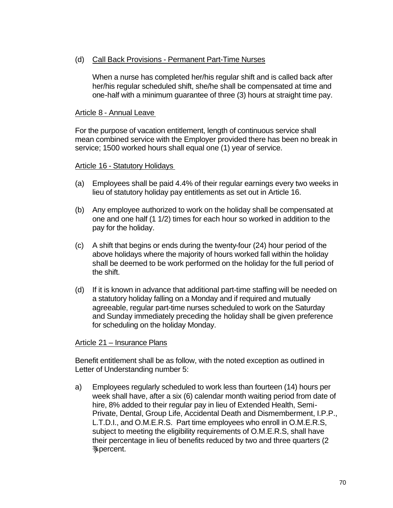#### (d) Call Back Provisions - Permanent Part-Time Nurses

When a nurse has completed her/his regular shift and is called back after her/his regular scheduled shift, she/he shall be compensated at time and one-half with a minimum guarantee of three (3) hours at straight time pay.

#### Article 8 - Annual Leave

For the purpose of vacation entitlement, length of continuous service shall mean combined service with the Employer provided there has been no break in service; 1500 worked hours shall equal one (1) year of service.

#### Article 16 - Statutory Holidays

- (a) Employees shall be paid 4.4% of their regular earnings every two weeks in lieu of statutory holiday pay entitlements as set out in Article 16.
- (b) Any employee authorized to work on the holiday shall be compensated at one and one half (1 1/2) times for each hour so worked in addition to the pay for the holiday.
- (c) A shift that begins or ends during the twenty-four (24) hour period of the above holidays where the majority of hours worked fall within the holiday shall be deemed to be work performed on the holiday for the full period of the shift.
- (d) If it is known in advance that additional part-time staffing will be needed on a statutory holiday falling on a Monday and if required and mutually agreeable, regular part-time nurses scheduled to work on the Saturday and Sunday immediately preceding the holiday shall be given preference for scheduling on the holiday Monday.

#### Article 21 – Insurance Plans

Benefit entitlement shall be as follow, with the noted exception as outlined in Letter of Understanding number 5:

a) Employees regularly scheduled to work less than fourteen (14) hours per week shall have, after a six (6) calendar month waiting period from date of hire, 8% added to their regular pay in lieu of Extended Health, Semi-Private, Dental, Group Life, Accidental Death and Dismemberment, I.P.P., L.T.D.I., and O.M.E.R.S. Part time employees who enroll in O.M.E.R.S, subject to meeting the eligibility requirements of O.M.E.R.S, shall have their percentage in lieu of benefits reduced by two and three quarters (2 ¾) percent.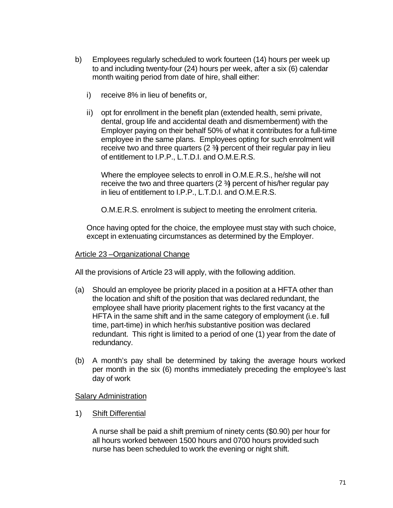- b) Employees regularly scheduled to work fourteen (14) hours per week up to and including twenty-four (24) hours per week, after a six (6) calendar month waiting period from date of hire, shall either:
	- i) receive 8% in lieu of benefits or,
	- ii) opt for enrollment in the benefit plan (extended health, semi private, dental, group life and accidental death and dismemberment) with the Employer paying on their behalf 50% of what it contributes for a full-time employee in the same plans. Employees opting for such enrolment will receive two and three quarters  $(2 \frac{3}{4})$  percent of their regular pay in lieu of entitlement to I.P.P., L.T.D.I. and O.M.E.R.S.

Where the employee selects to enroll in O.M.E.R.S., he/she will not receive the two and three quarters  $(2 \frac{3}{4})$  percent of his/her regular pay in lieu of entitlement to I.P.P., L.T.D.I. and O.M.E.R.S.

O.M.E.R.S. enrolment is subject to meeting the enrolment criteria.

Once having opted for the choice, the employee must stay with such choice, except in extenuating circumstances as determined by the Employer.

#### Article 23 –Organizational Change

All the provisions of Article 23 will apply, with the following addition.

- (a) Should an employee be priority placed in a position at a HFTA other than the location and shift of the position that was declared redundant, the employee shall have priority placement rights to the first vacancy at the HFTA in the same shift and in the same category of employment (i.e. full time, part-time) in which her/his substantive position was declared redundant. This right is limited to a period of one (1) year from the date of redundancy.
- (b) A month's pay shall be determined by taking the average hours worked per month in the six (6) months immediately preceding the employee's last day of work

#### Salary Administration

1) Shift Differential

A nurse shall be paid a shift premium of ninety cents (\$0.90) per hour for all hours worked between 1500 hours and 0700 hours provided such nurse has been scheduled to work the evening or night shift.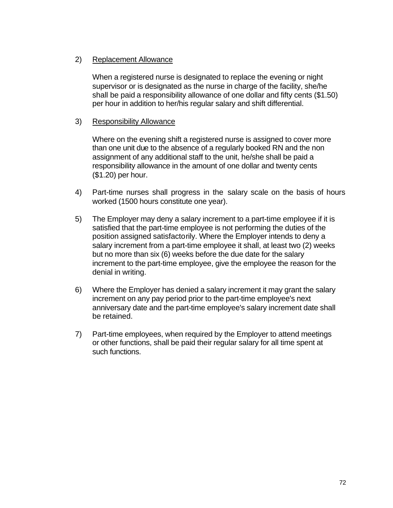#### 2) Replacement Allowance

When a registered nurse is designated to replace the evening or night supervisor or is designated as the nurse in charge of the facility, she/he shall be paid a responsibility allowance of one dollar and fifty cents (\$1.50) per hour in addition to her/his regular salary and shift differential.

#### 3) Responsibility Allowance

Where on the evening shift a registered nurse is assigned to cover more than one unit due to the absence of a regularly booked RN and the non assignment of any additional staff to the unit, he/she shall be paid a responsibility allowance in the amount of one dollar and twenty cents (\$1.20) per hour.

- 4) Part-time nurses shall progress in the salary scale on the basis of hours worked (1500 hours constitute one year).
- 5) The Employer may deny a salary increment to a part-time employee if it is satisfied that the part-time employee is not performing the duties of the position assigned satisfactorily. Where the Employer intends to deny a salary increment from a part-time employee it shall, at least two (2) weeks but no more than six (6) weeks before the due date for the salary increment to the part-time employee, give the employee the reason for the denial in writing.
- 6) Where the Employer has denied a salary increment it may grant the salary increment on any pay period prior to the part-time employee's next anniversary date and the part-time employee's salary increment date shall be retained.
- 7) Part-time employees, when required by the Employer to attend meetings or other functions, shall be paid their regular salary for all time spent at such functions.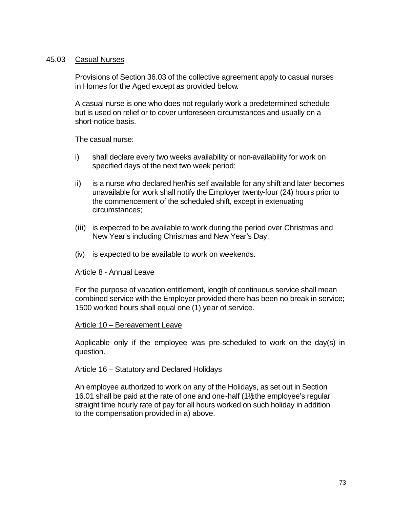#### 45.03 Casual Nurses

Provisions of Section 36.03 of the collective agreement apply to casual nurses in Homes for the Aged except as provided below*:*

A casual nurse is one who does not regularly work a predetermined schedule but is used on relief or to cover unforeseen circumstances and usually on a short-notice basis.

The casual nurse:

- i) shall declare every two weeks availability or non-availability for work on specified days of the next two week period;
- ii) is a nurse who declared her/his self available for any shift and later becomes unavailable for work shall notify the Employer twenty-four (24) hours prior to the commencement of the scheduled shift, except in extenuating circumstances;
- (iii) is expected to be available to work during the period over Christmas and New Year's including Christmas and New Year's Day;
- (iv) is expected to be available to work on weekends.

#### Article 8 - Annual Leave

For the purpose of vacation entitlement, length of continuous service shall mean combined service with the Employer provided there has been no break in service; 1500 worked hours shall equal one (1) year of service.

#### Article 10 – Bereavement Leave

Applicable only if the employee was pre-scheduled to work on the day(s) in question.

#### Article 16 – Statutory and Declared Holidays

An employee authorized to work on any of the Holidays, as set out in Section 16.01 shall be paid at the rate of one and one-half (1 $%$ the employee's regular straight time hourly rate of pay for all hours worked on such holiday in addition to the compensation provided in a) above.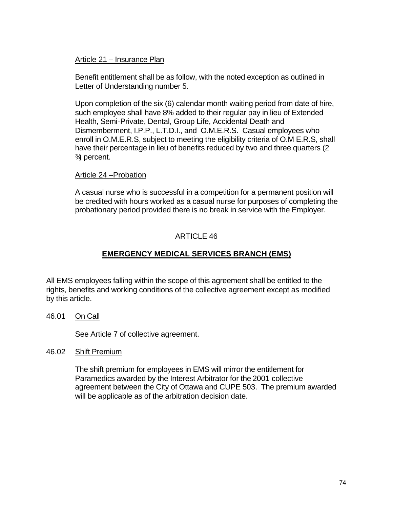#### Article 21 – Insurance Plan

Benefit entitlement shall be as follow, with the noted exception as outlined in Letter of Understanding number 5.

Upon completion of the six (6) calendar month waiting period from date of hire, such employee shall have 8% added to their regular pay in lieu of Extended Health, Semi-Private, Dental, Group Life, Accidental Death and Dismemberment, I.P.P., L.T.D.I., and O.M.E.R.S. Casual employees who enroll in O.M.E.R.S, subject to meeting the eligibility criteria of O.M E.R.S, shall have their percentage in lieu of benefits reduced by two and three quarters (2 3⁄4 percent.

#### Article 24 –Probation

A casual nurse who is successful in a competition for a permanent position will be credited with hours worked as a casual nurse for purposes of completing the probationary period provided there is no break in service with the Employer.

#### ARTICLE 46

## **EMERGENCY MEDICAL SERVICES BRANCH (EMS)**

All EMS employees falling within the scope of this agreement shall be entitled to the rights, benefits and working conditions of the collective agreement except as modified by this article.

46.01 On Call

See Article 7 of collective agreement.

46.02 Shift Premium

The shift premium for employees in EMS will mirror the entitlement for Paramedics awarded by the Interest Arbitrator for the 2001 collective agreement between the City of Ottawa and CUPE 503. The premium awarded will be applicable as of the arbitration decision date.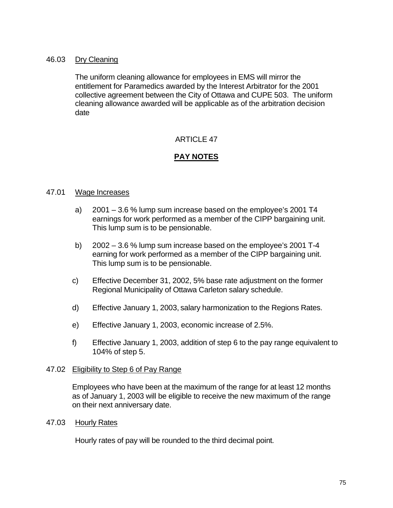#### 46.03 Dry Cleaning

The uniform cleaning allowance for employees in EMS will mirror the entitlement for Paramedics awarded by the Interest Arbitrator for the 2001 collective agreement between the City of Ottawa and CUPE 503. The uniform cleaning allowance awarded will be applicable as of the arbitration decision date

## ARTICLE 47

## **PAY NOTES**

#### 47.01 Wage Increases

- a) 2001 3.6 % lump sum increase based on the employee's 2001 T4 earnings for work performed as a member of the CIPP bargaining unit. This lump sum is to be pensionable.
- b) 2002 3.6 % lump sum increase based on the employee's 2001 T-4 earning for work performed as a member of the CIPP bargaining unit. This lump sum is to be pensionable.
- c) Effective December 31, 2002, 5% base rate adjustment on the former Regional Municipality of Ottawa Carleton salary schedule.
- d) Effective January 1, 2003, salary harmonization to the Regions Rates.
- e) Effective January 1, 2003, economic increase of 2.5%.
- f) Effective January 1, 2003, addition of step 6 to the pay range equivalent to 104% of step 5.

#### 47.02 Eligibility to Step 6 of Pay Range

Employees who have been at the maximum of the range for at least 12 months as of January 1, 2003 will be eligible to receive the new maximum of the range on their next anniversary date.

47.03 Hourly Rates

Hourly rates of pay will be rounded to the third decimal point.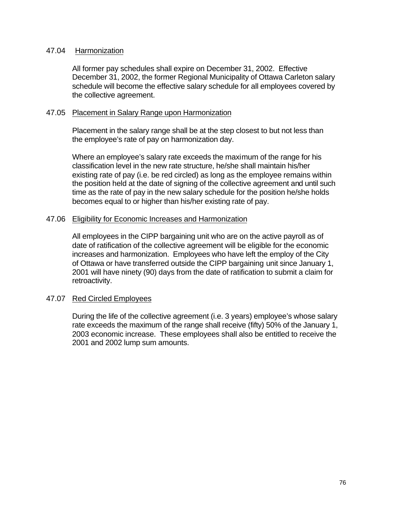#### 47.04 Harmonization

All former pay schedules shall expire on December 31, 2002. Effective December 31, 2002, the former Regional Municipality of Ottawa Carleton salary schedule will become the effective salary schedule for all employees covered by the collective agreement.

#### 47.05 Placement in Salary Range upon Harmonization

Placement in the salary range shall be at the step closest to but not less than the employee's rate of pay on harmonization day.

Where an employee's salary rate exceeds the maximum of the range for his classification level in the new rate structure, he/she shall maintain his/her existing rate of pay (i.e. be red circled) as long as the employee remains within the position held at the date of signing of the collective agreement and until such time as the rate of pay in the new salary schedule for the position he/she holds becomes equal to or higher than his/her existing rate of pay.

#### 47.06 Eligibility for Economic Increases and Harmonization

All employees in the CIPP bargaining unit who are on the active payroll as of date of ratification of the collective agreement will be eligible for the economic increases and harmonization. Employees who have left the employ of the City of Ottawa or have transferred outside the CIPP bargaining unit since January 1, 2001 will have ninety (90) days from the date of ratification to submit a claim for retroactivity.

#### 47.07 Red Circled Employees

During the life of the collective agreement (i.e. 3 years) employee's whose salary rate exceeds the maximum of the range shall receive (fifty) 50% of the January 1, 2003 economic increase. These employees shall also be entitled to receive the 2001 and 2002 lump sum amounts.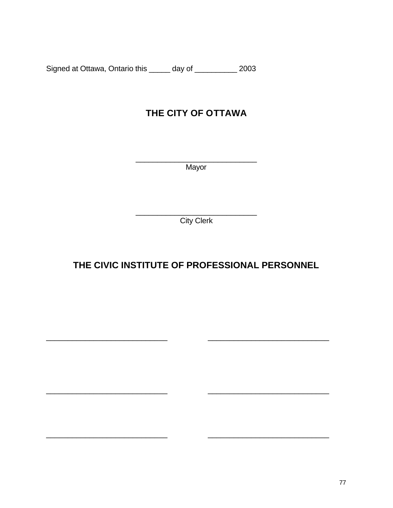Signed at Ottawa, Ontario this \_\_\_\_\_ day of \_\_\_\_\_\_\_\_\_\_ 2003

# **THE CITY OF OTTAWA**

\_\_\_\_\_\_\_\_\_\_\_\_\_\_\_\_\_\_\_\_\_\_\_\_\_\_\_\_ Mayor

\_\_\_\_\_\_\_\_\_\_\_\_\_\_\_\_\_\_\_\_\_\_\_\_\_\_\_\_ **City Clerk** 

# **THE CIVIC INSTITUTE OF PROFESSIONAL PERSONNEL**

\_\_\_\_\_\_\_\_\_\_\_\_\_\_\_\_\_\_\_\_\_\_\_\_\_\_\_\_ \_\_\_\_\_\_\_\_\_\_\_\_\_\_\_\_\_\_\_\_\_\_\_\_\_\_\_\_

\_\_\_\_\_\_\_\_\_\_\_\_\_\_\_\_\_\_\_\_\_\_\_\_\_\_\_\_ \_\_\_\_\_\_\_\_\_\_\_\_\_\_\_\_\_\_\_\_\_\_\_\_\_\_\_\_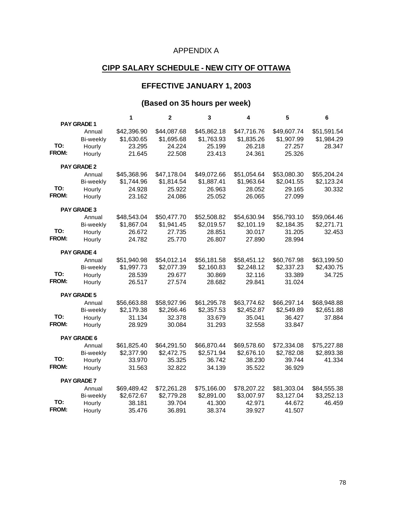## APPENDIX A

## **CIPP SALARY SCHEDULE - NEW CITY OF OTTAWA**

## **EFFECTIVE JANUARY 1, 2003**

## **(Based on 35 hours per week)**

|              |                    | 1           | $\mathbf{2}$ | 3           | 4           | 5           | 6           |
|--------------|--------------------|-------------|--------------|-------------|-------------|-------------|-------------|
|              | PAY GRADE 1        |             |              |             |             |             |             |
|              | Annual             | \$42,396.90 | \$44,087.68  | \$45,862.18 | \$47,716.76 | \$49,607.74 | \$51,591.54 |
|              | Bi-weekly          | \$1,630.65  | \$1,695.68   | \$1,763.93  | \$1,835.26  | \$1,907.99  | \$1,984.29  |
| TO:          | Hourly             | 23.295      | 24.224       | 25.199      | 26.218      | 27.257      | 28.347      |
| <b>FROM:</b> | Hourly             | 21.645      | 22.508       | 23.413      | 24.361      | 25.326      |             |
|              | <b>PAY GRADE 2</b> |             |              |             |             |             |             |
|              | Annual             | \$45,368.96 | \$47,178.04  | \$49,072.66 | \$51,054.64 | \$53,080.30 | \$55,204.24 |
|              | Bi-weekly          | \$1,744.96  | \$1,814.54   | \$1,887.41  | \$1,963.64  | \$2,041.55  | \$2,123.24  |
| TO:          | Hourly             | 24.928      | 25.922       | 26.963      | 28.052      | 29.165      | 30.332      |
| FROM:        | Hourly             | 23.162      | 24.086       | 25.052      | 26.065      | 27.099      |             |
|              | <b>PAY GRADE 3</b> |             |              |             |             |             |             |
|              | Annual             | \$48,543.04 | \$50,477.70  | \$52,508.82 | \$54,630.94 | \$56,793.10 | \$59,064.46 |
|              | Bi-weekly          | \$1,867.04  | \$1,941.45   | \$2,019.57  | \$2,101.19  | \$2,184.35  | \$2,271.71  |
| TO:          | Hourly             | 26.672      | 27.735       | 28.851      | 30.017      | 31.205      | 32.453      |
| FROM:        | Hourly             | 24.782      | 25.770       | 26.807      | 27.890      | 28.994      |             |
|              | PAY GRADE 4        |             |              |             |             |             |             |
|              | Annual             | \$51,940.98 | \$54,012.14  | \$56,181.58 | \$58,451.12 | \$60,767.98 | \$63,199.50 |
|              | Bi-weekly          | \$1,997.73  | \$2,077.39   | \$2,160.83  | \$2,248.12  | \$2,337.23  | \$2,430.75  |
| TO:          | Hourly             | 28.539      | 29.677       | 30.869      | 32.116      | 33.389      | 34.725      |
| FROM:        | Hourly             | 26.517      | 27.574       | 28.682      | 29.841      | 31.024      |             |
|              | <b>PAY GRADE 5</b> |             |              |             |             |             |             |
|              | Annual             | \$56,663.88 | \$58,927.96  | \$61,295.78 | \$63,774.62 | \$66,297.14 | \$68,948.88 |
|              | Bi-weekly          | \$2,179.38  | \$2,266.46   | \$2,357.53  | \$2,452.87  | \$2,549.89  | \$2,651.88  |
| TO:          | Hourly             | 31.134      | 32.378       | 33.679      | 35.041      | 36.427      | 37.884      |
| FROM:        | Hourly             | 28.929      | 30.084       | 31.293      | 32.558      | 33.847      |             |
|              | <b>PAY GRADE 6</b> |             |              |             |             |             |             |
|              | Annual             | \$61,825.40 | \$64,291.50  | \$66,870.44 | \$69,578.60 | \$72,334.08 | \$75,227.88 |
|              | Bi-weekly          | \$2,377.90  | \$2,472.75   | \$2,571.94  | \$2,676.10  | \$2,782.08  | \$2,893.38  |
| TO:          | Hourly             | 33.970      | 35.325       | 36.742      | 38.230      | 39.744      | 41.334      |
| <b>FROM:</b> | Hourly             | 31.563      | 32.822       | 34.139      | 35.522      | 36.929      |             |
|              | <b>PAY GRADE 7</b> |             |              |             |             |             |             |
|              | Annual             | \$69,489.42 | \$72,261.28  | \$75,166.00 | \$78,207.22 | \$81,303.04 | \$84,555.38 |
|              | Bi-weekly          | \$2,672.67  | \$2,779.28   | \$2,891.00  | \$3,007.97  | \$3,127.04  | \$3,252.13  |
| TO:          | Hourly             | 38.181      | 39.704       | 41.300      | 42.971      | 44.672      | 46.459      |
| <b>FROM:</b> | Hourly             | 35.476      | 36.891       | 38.374      | 39.927      | 41.507      |             |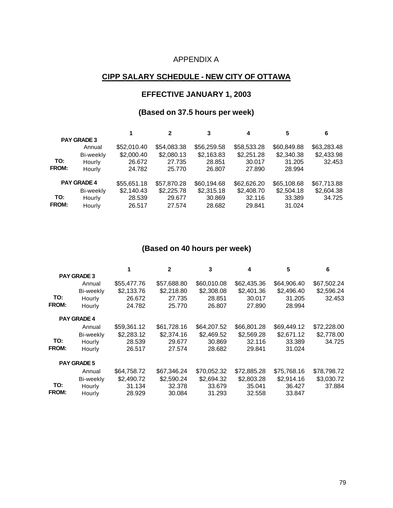## APPENDIX A

## **CIPP SALARY SCHEDULE - NEW CITY OF OTTAWA**

#### **EFFECTIVE JANUARY 1, 2003**

#### **(Based on 37.5 hours per week)**

|                    |                    |             | $\mathbf{2}$ | 3           | 4           | 5           | 6           |
|--------------------|--------------------|-------------|--------------|-------------|-------------|-------------|-------------|
|                    | <b>PAY GRADE 3</b> |             |              |             |             |             |             |
|                    | Annual             | \$52,010.40 | \$54,083.38  | \$56,259.58 | \$58,533.28 | \$60,849.88 | \$63,283.48 |
|                    | Bi-weekly          | \$2,000.40  | \$2,080.13   | \$2,163.83  | \$2,251.28  | \$2,340.38  | \$2,433.98  |
| TO:                | Hourly             | 26.672      | 27.735       | 28.851      | 30.017      | 31.205      | 32.453      |
| <b>FROM:</b>       | Hourly             | 24.782      | 25,770       | 26.807      | 27,890      | 28.994      |             |
| <b>PAY GRADE 4</b> |                    | \$55,651.18 | \$57,870.28  | \$60,194.68 | \$62,626.20 | \$65,108.68 | \$67,713.88 |
|                    | Bi-weekly          | \$2,140.43  | \$2,225.78   | \$2,315.18  | \$2,408.70  | \$2,504.18  | \$2,604.38  |
| TO:                | Hourly             | 28.539      | 29.677       | 30.869      | 32.116      | 33.389      | 34.725      |
| <b>FROM:</b>       | Hourly             | 26.517      | 27.574       | 28.682      | 29.841      | 31.024      |             |

## **(Based on 40 hours per week)**

|       |                    |             | $\mathbf{2}$ | 3           | 4           | 5           | 6           |
|-------|--------------------|-------------|--------------|-------------|-------------|-------------|-------------|
|       | <b>PAY GRADE 3</b> |             |              |             |             |             |             |
|       | Annual             | \$55,477.76 | \$57,688.80  | \$60,010.08 | \$62,435.36 | \$64,906.40 | \$67,502.24 |
|       | Bi-weekly          | \$2,133.76  | \$2,218.80   | \$2,308.08  | \$2,401.36  | \$2,496.40  | \$2,596.24  |
| TO:   | Hourly             | 26.672      | 27.735       | 28.851      | 30.017      | 31.205      | 32.453      |
| FROM: | Hourly             | 24.782      | 25.770       | 26.807      | 27.890      | 28.994      |             |
|       | <b>PAY GRADE 4</b> |             |              |             |             |             |             |
|       | Annual             | \$59,361.12 | \$61,728.16  | \$64,207.52 | \$66,801.28 | \$69,449.12 | \$72,228.00 |
|       | Bi-weekly          | \$2,283.12  | \$2,374.16   | \$2,469.52  | \$2,569.28  | \$2,671.12  | \$2,778.00  |
| TO:   | Hourly             | 28.539      | 29.677       | 30.869      | 32.116      | 33.389      | 34.725      |
| FROM: | Hourly             | 26.517      | 27.574       | 28.682      | 29.841      | 31.024      |             |
|       | <b>PAY GRADE 5</b> |             |              |             |             |             |             |
|       | Annual             | \$64,758.72 | \$67,346.24  | \$70,052.32 | \$72,885.28 | \$75,768.16 | \$78,798.72 |
|       | Bi-weekly          | \$2,490.72  | \$2,590.24   | \$2,694.32  | \$2,803.28  | \$2,914.16  | \$3,030.72  |
| TO:   | Hourly             | 31.134      | 32,378       | 33.679      | 35.041      | 36.427      | 37.884      |
| FROM: | Hourly             | 28.929      | 30.084       | 31.293      | 32.558      | 33.847      |             |
|       |                    |             |              |             |             |             |             |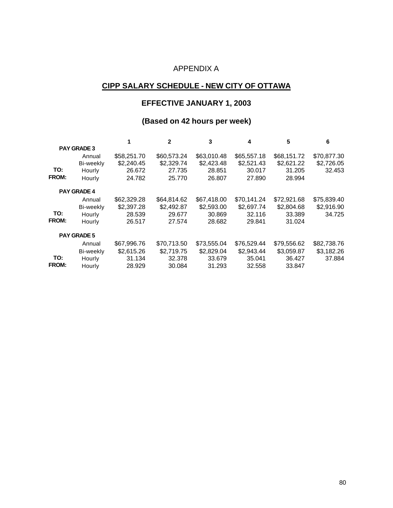## APPENDIX A

## **CIPP SALARY SCHEDULE - NEW CITY OF OTTAWA**

#### **EFFECTIVE JANUARY 1, 2003**

## **(Based on 42 hours per week)**

|              |                    |             | $\mathbf{2}$ | 3           | 4           | 5           | 6           |
|--------------|--------------------|-------------|--------------|-------------|-------------|-------------|-------------|
|              | <b>PAY GRADE 3</b> |             |              |             |             |             |             |
|              | Annual             | \$58,251.70 | \$60,573.24  | \$63,010.48 | \$65,557.18 | \$68,151.72 | \$70,877.30 |
|              | Bi-weekly          | \$2,240.45  | \$2,329.74   | \$2,423.48  | \$2,521.43  | \$2,621.22  | \$2,726.05  |
| TO:          | Hourly             | 26.672      | 27.735       | 28.851      | 30.017      | 31.205      | 32.453      |
| <b>FROM:</b> | Hourly             | 24.782      | 25,770       | 26,807      | 27,890      | 28.994      |             |
|              | <b>PAY GRADE 4</b> |             |              |             |             |             |             |
|              | Annual             | \$62,329.28 | \$64,814.62  | \$67,418.00 | \$70,141.24 | \$72,921.68 | \$75,839.40 |
|              | Bi-weekly          | \$2,397.28  | \$2,492.87   | \$2,593.00  | \$2,697.74  | \$2,804.68  | \$2,916.90  |
| TO:          | Hourly             | 28,539      | 29.677       | 30.869      | 32.116      | 33.389      | 34.725      |
| <b>FROM:</b> | Hourly             | 26.517      | 27.574       | 28.682      | 29.841      | 31.024      |             |
|              | <b>PAY GRADE 5</b> |             |              |             |             |             |             |
|              | Annual             | \$67.996.76 | \$70.713.50  | \$73,555.04 | \$76,529.44 | \$79,556.62 | \$82,738.76 |
|              | Bi-weekly          | \$2,615.26  | \$2,719.75   | \$2,829.04  | \$2,943.44  | \$3,059.87  | \$3,182.26  |
| TO:          | Hourly             | 31.134      | 32.378       | 33.679      | 35.041      | 36.427      | 37.884      |
| <b>FROM:</b> | Hourly             | 28.929      | 30.084       | 31.293      | 32.558      | 33.847      |             |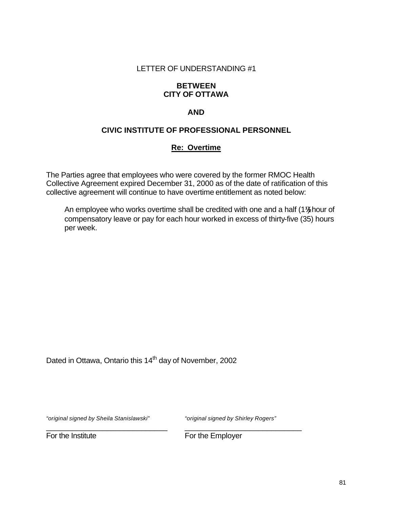#### **BETWEEN CITY OF OTTAWA**

#### **AND**

#### **CIVIC INSTITUTE OF PROFESSIONAL PERSONNEL**

#### **Re: Overtime**

The Parties agree that employees who were covered by the former RMOC Health Collective Agreement expired December 31, 2000 as of the date of ratification of this collective agreement will continue to have overtime entitlement as noted below:

An employee who works overtime shall be credited with one and a half (1**½**) hour of compensatory leave or pay for each hour worked in excess of thirty-five (35) hours per week.

Dated in Ottawa, Ontario this 14<sup>th</sup> day of November, 2002

*"original signed by Sheila Stanislawski" "original signed by Shirley Rogers"*

For the Institute For the Employer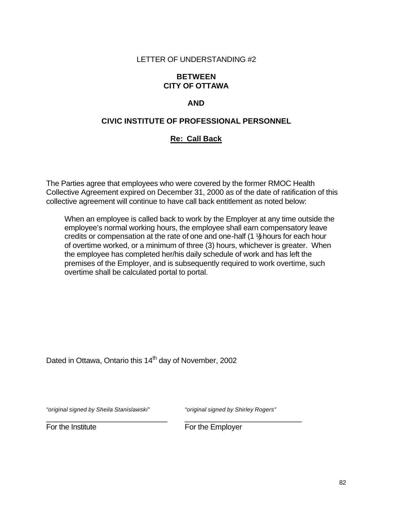#### **BETWEEN CITY OF OTTAWA**

## **AND**

#### **CIVIC INSTITUTE OF PROFESSIONAL PERSONNEL**

#### **Re: Call Back**

The Parties agree that employees who were covered by the former RMOC Health Collective Agreement expired on December 31, 2000 as of the date of ratification of this collective agreement will continue to have call back entitlement as noted below:

When an employee is called back to work by the Employer at any time outside the employee's normal working hours, the employee shall earn compensatory leave credits or compensation at the rate of one and one-half (1 ½) hours for each hour of overtime worked, or a minimum of three (3) hours, whichever is greater. When the employee has completed her/his daily schedule of work and has left the premises of the Employer, and is subsequently required to work overtime, such overtime shall be calculated portal to portal.

Dated in Ottawa, Ontario this 14<sup>th</sup> day of November, 2002

*"original signed by Sheila Stanislawski" "original signed by Shirley Rogers"*

For the Institute **For the Employer**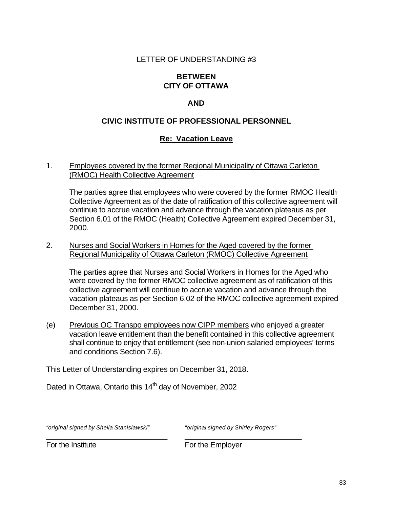#### **BETWEEN CITY OF OTTAWA**

## **AND**

## **CIVIC INSTITUTE OF PROFESSIONAL PERSONNEL**

#### **Re: Vacation Leave**

1. Employees covered by the former Regional Municipality of Ottawa Carleton (RMOC) Health Collective Agreement

The parties agree that employees who were covered by the former RMOC Health Collective Agreement as of the date of ratification of this collective agreement will continue to accrue vacation and advance through the vacation plateaus as per Section 6.01 of the RMOC (Health) Collective Agreement expired December 31, 2000.

2. Nurses and Social Workers in Homes for the Aged covered by the former Regional Municipality of Ottawa Carleton (RMOC) Collective Agreement

The parties agree that Nurses and Social Workers in Homes for the Aged who were covered by the former RMOC collective agreement as of ratification of this collective agreement will continue to accrue vacation and advance through the vacation plateaus as per Section 6.02 of the RMOC collective agreement expired December 31, 2000.

(e) Previous OC Transpo employees now CIPP members who enjoyed a greater vacation leave entitlement than the benefit contained in this collective agreement shall continue to enjoy that entitlement (see non-union salaried employees' terms and conditions Section 7.6).

\_\_\_\_\_\_\_\_\_\_\_\_\_\_\_\_\_\_\_\_\_\_\_\_\_\_\_\_ \_\_\_\_\_\_\_\_\_\_\_\_\_\_\_\_\_\_\_\_\_\_\_\_\_\_\_

This Letter of Understanding expires on December 31, 2018.

Dated in Ottawa, Ontario this 14<sup>th</sup> day of November, 2002

*"original signed by Sheila Stanislawski" "original signed by Shirley Rogers"*

For the Institute **For the Employer**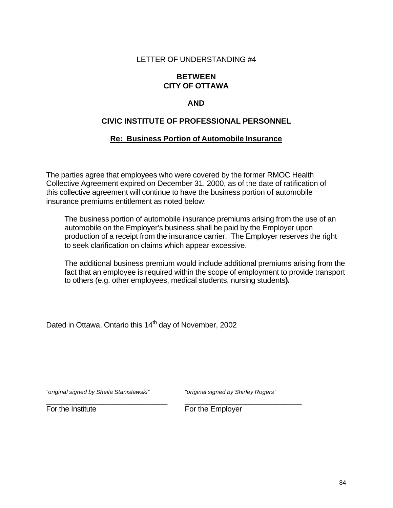#### **BETWEEN CITY OF OTTAWA**

#### **AND**

#### **CIVIC INSTITUTE OF PROFESSIONAL PERSONNEL**

#### **Re: Business Portion of Automobile Insurance**

The parties agree that employees who were covered by the former RMOC Health Collective Agreement expired on December 31, 2000, as of the date of ratification of this collective agreement will continue to have the business portion of automobile insurance premiums entitlement as noted below:

The business portion of automobile insurance premiums arising from the use of an automobile on the Employer's business shall be paid by the Employer upon production of a receipt from the insurance carrier. The Employer reserves the right to seek clarification on claims which appear excessive.

The additional business premium would include additional premiums arising from the fact that an employee is required within the scope of employment to provide transport to others (e.g. other employees, medical students, nursing students**).**

Dated in Ottawa, Ontario this 14<sup>th</sup> day of November, 2002

*"original signed by Sheila Stanislawski" "original signed by Shirley Rogers"*

For the Institute **For the Employer**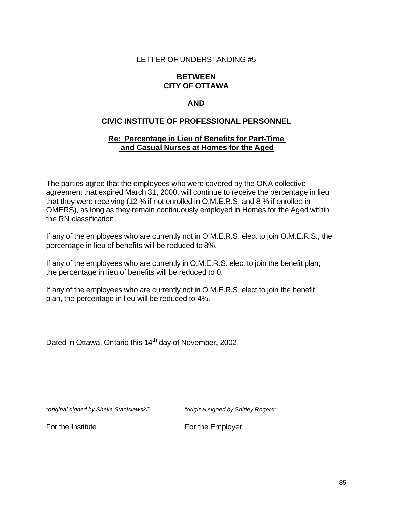#### **BETWEEN CITY OF OTTAWA**

## **AND**

#### **CIVIC INSTITUTE OF PROFESSIONAL PERSONNEL**

#### **Re: Percentage in Lieu of Benefits for Part-Time and Casual Nurses at Homes for the Aged**

The parties agree that the employees who were covered by the ONA collective agreement that expired March 31, 2000, will continue to receive the percentage in lieu that they were receiving (12 % if not enrolled in O.M.E.R.S. and 8 % if enrolled in OMERS), as long as they remain continuously employed in Homes for the Aged within the RN classification.

If any of the employees who are currently not in O.M.E.R.S. elect to join O.M.E.R.S., the percentage in lieu of benefits will be reduced to 8%.

If any of the employees who are currently in O.M.E.R.S. elect to join the benefit plan, the percentage in lieu of benefits will be reduced to 0.

If any of the employees who are currently not in O.M.E.R.S. elect to join the benefit plan, the percentage in lieu will be reduced to 4%.

\_\_\_\_\_\_\_\_\_\_\_\_\_\_\_\_\_\_\_\_\_\_\_\_\_\_\_\_ \_\_\_\_\_\_\_\_\_\_\_\_\_\_\_\_\_\_\_\_\_\_\_\_\_\_\_

Dated in Ottawa, Ontario this 14<sup>th</sup> day of November, 2002

*"original signed by Sheila Stanislawski" "original signed by Shirley Rogers"*

For the Institute **For the Employer**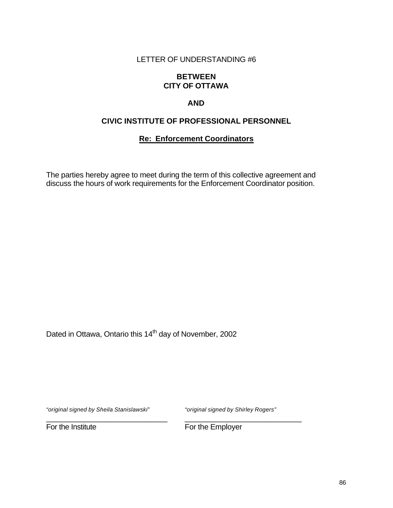#### **BETWEEN CITY OF OTTAWA**

## **AND**

## **CIVIC INSTITUTE OF PROFESSIONAL PERSONNEL**

## **Re: Enforcement Coordinators**

The parties hereby agree to meet during the term of this collective agreement and discuss the hours of work requirements for the Enforcement Coordinator position.

Dated in Ottawa, Ontario this 14<sup>th</sup> day of November, 2002

*"original signed by Sheila Stanislawski" "original signed by Shirley Rogers"*

\_\_\_\_\_\_\_\_\_\_\_\_\_\_\_\_\_\_\_\_\_\_\_\_\_\_\_\_ \_\_\_\_\_\_\_\_\_\_\_\_\_\_\_\_\_\_\_\_\_\_\_\_\_\_\_

For the Institute For the Employer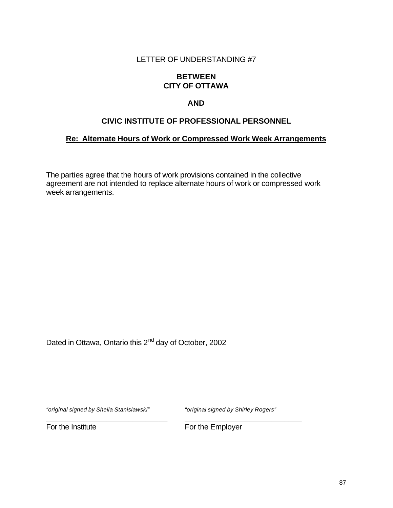#### **BETWEEN CITY OF OTTAWA**

#### **AND**

#### **CIVIC INSTITUTE OF PROFESSIONAL PERSONNEL**

#### **Re: Alternate Hours of Work or Compressed Work Week Arrangements**

The parties agree that the hours of work provisions contained in the collective agreement are not intended to replace alternate hours of work or compressed work week arrangements.

Dated in Ottawa, Ontario this 2<sup>nd</sup> day of October, 2002

*"original signed by Sheila Stanislawski" "original signed by Shirley Rogers"*

For the Institute **For the Employer**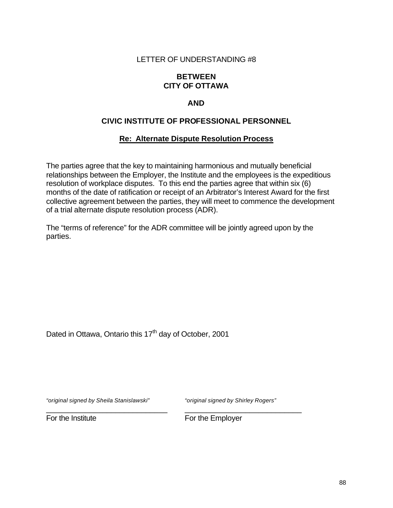#### **BETWEEN CITY OF OTTAWA**

## **AND**

## **CIVIC INSTITUTE OF PROFESSIONAL PERSONNEL**

#### **Re: Alternate Dispute Resolution Process**

The parties agree that the key to maintaining harmonious and mutually beneficial relationships between the Employer, the Institute and the employees is the expeditious resolution of workplace disputes. To this end the parties agree that within six (6) months of the date of ratification or receipt of an Arbitrator's Interest Award for the first collective agreement between the parties, they will meet to commence the development of a trial alternate dispute resolution process (ADR).

The "terms of reference" for the ADR committee will be jointly agreed upon by the parties.

Dated in Ottawa, Ontario this 17<sup>th</sup> day of October, 2001

*"original signed by Sheila Stanislawski" "original signed by Shirley Rogers"*

For the Institute **For the Employer**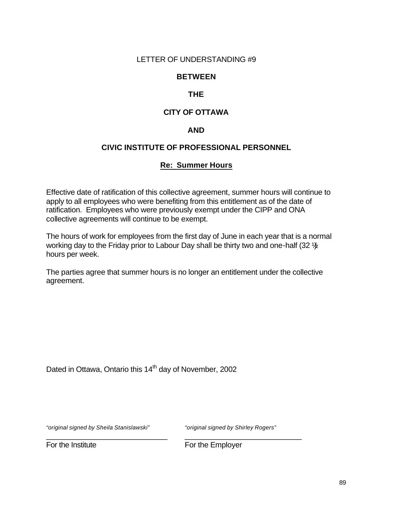#### **BETWEEN**

## **THE**

## **CITY OF OTTAWA**

#### **AND**

#### **CIVIC INSTITUTE OF PROFESSIONAL PERSONNEL**

#### **Re: Summer Hours**

Effective date of ratification of this collective agreement, summer hours will continue to apply to all employees who were benefiting from this entitlement as of the date of ratification. Employees who were previously exempt under the CIPP and ONA collective agreements will continue to be exempt.

The hours of work for employees from the first day of June in each year that is a normal working day to the Friday prior to Labour Day shall be thirty two and one-half (32  $\frac{1}{2}$ ) hours per week.

The parties agree that summer hours is no longer an entitlement under the collective agreement.

Dated in Ottawa, Ontario this 14<sup>th</sup> day of November, 2002

*"original signed by Sheila Stanislawski" "original signed by Shirley Rogers"*

For the Institute **For the Employer**